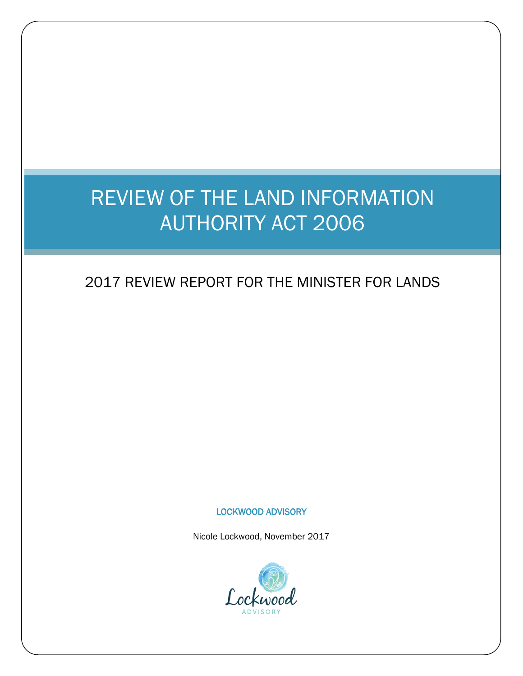# REVIEW OF THE LAND INFORMATION AUTHORITY ACT 2006

# 2017 REVIEW REPORT FOR THE MINISTER FOR LANDS

### LOCKWOOD ADVISORY

Nicole Lockwood, November 2017

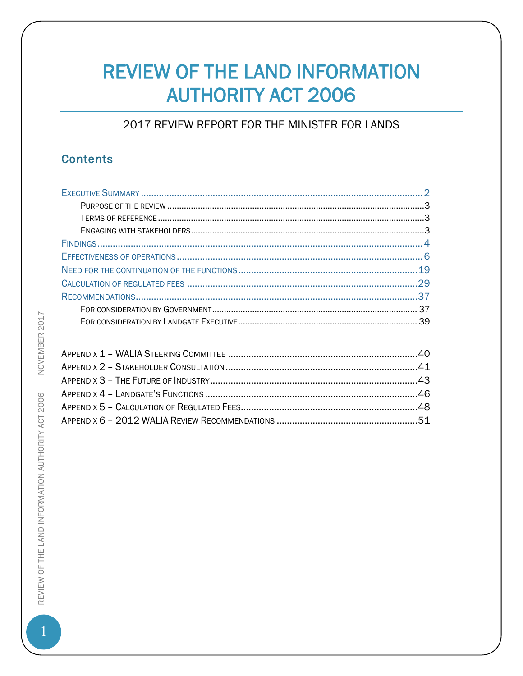# **REVIEW OF THE LAND INFORMATION AUTHORITY ACT 2006**

# 2017 REVIEW REPORT FOR THE MINISTER FOR LANDS

# **Contents**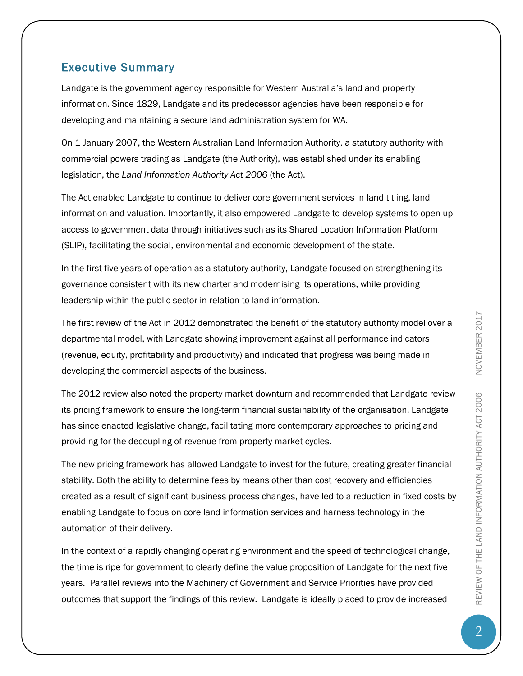# <span id="page-2-0"></span>Executive Summary

Landgate is the government agency responsible for Western Australia's land and property information. Since 1829, Landgate and its predecessor agencies have been responsible for developing and maintaining a secure land administration system for WA.

On 1 January 2007, the Western Australian Land Information Authority, a statutory authority with commercial powers trading as Landgate (the Authority), was established under its enabling legislation, the *Land Information Authority Act 2006* (the Act).

The Act enabled Landgate to continue to deliver core government services in land titling, land information and valuation. Importantly, it also empowered Landgate to develop systems to open up access to government data through initiatives such as its Shared Location Information Platform (SLIP), facilitating the social, environmental and economic development of the state.

In the first five years of operation as a statutory authority, Landgate focused on strengthening its governance consistent with its new charter and modernising its operations, while providing leadership within the public sector in relation to land information.

The first review of the Act in 2012 demonstrated the benefit of the statutory authority model over a departmental model, with Landgate showing improvement against all performance indicators (revenue, equity, profitability and productivity) and indicated that progress was being made in developing the commercial aspects of the business.

The 2012 review also noted the property market downturn and recommended that Landgate review its pricing framework to ensure the long-term financial sustainability of the organisation. Landgate has since enacted legislative change, facilitating more contemporary approaches to pricing and providing for the decoupling of revenue from property market cycles.

The new pricing framework has allowed Landgate to invest for the future, creating greater financial stability. Both the ability to determine fees by means other than cost recovery and efficiencies created as a result of significant business process changes, have led to a reduction in fixed costs by enabling Landgate to focus on core land information services and harness technology in the automation of their delivery.

In the context of a rapidly changing operating environment and the speed of technological change, the time is ripe for government to clearly define the value proposition of Landgate for the next five years. Parallel reviews into the Machinery of Government and Service Priorities have provided outcomes that support the findings of this review. Landgate is ideally placed to provide increased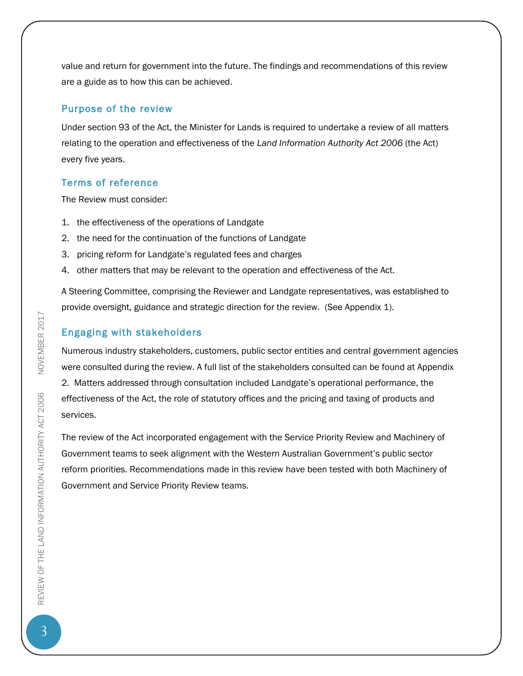value and return for government into the future. The findings and recommendations of this review are a guide as to how this can be achieved.

### <span id="page-3-0"></span>Purpose of the review

Under section 93 of the Act, the Minister for Lands is required to undertake a review of all matters relating to the operation and effectiveness of the *Land Information Authority Act 2006* (the Act) every five years.

### <span id="page-3-1"></span>Terms of reference

The Review must consider:

- 1. the effectiveness of the operations of Landgate
- 2. the need for the continuation of the functions of Landgate
- 3. pricing reform for Landgate's regulated fees and charges
- 4. other matters that may be relevant to the operation and effectiveness of the Act.

A Steering Committee, comprising the Reviewer and Landgate representatives, was established to provide oversight, guidance and strategic direction for the review. (See Appendix 1).

### <span id="page-3-2"></span>Engaging with stakeholders

Numerous industry stakeholders, customers, public sector entities and central government agencies were consulted during the review. A full list of the stakeholders consulted can be found at Appendix 2. Matters addressed through consultation included Landgate's operational performance, the effectiveness of the Act, the role of statutory offices and the pricing and taxing of products and services.

The review of the Act incorporated engagement with the Service Priority Review and Machinery of Government teams to seek alignment with the Western Australian Government's public sector reform priorities. Recommendations made in this review have been tested with both Machinery of Government and Service Priority Review teams.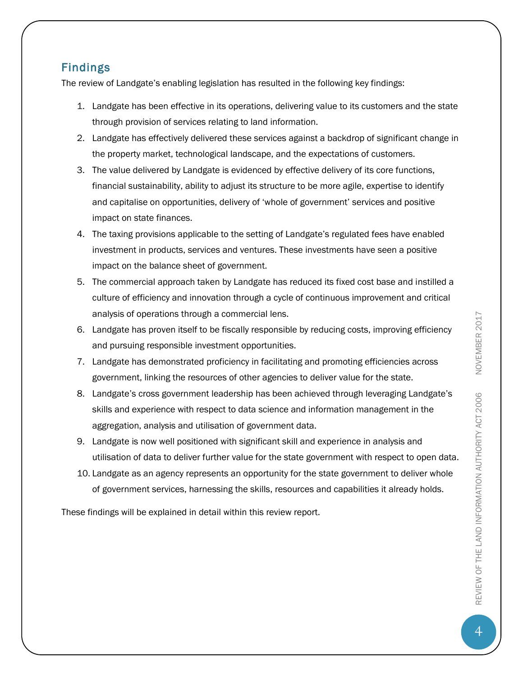# <span id="page-4-0"></span>Findings

The review of Landgate's enabling legislation has resulted in the following key findings:

- 1. Landgate has been effective in its operations, delivering value to its customers and the state through provision of services relating to land information.
- 2. Landgate has effectively delivered these services against a backdrop of significant change in the property market, technological landscape, and the expectations of customers.
- 3. The value delivered by Landgate is evidenced by effective delivery of its core functions, financial sustainability, ability to adjust its structure to be more agile, expertise to identify and capitalise on opportunities, delivery of 'whole of government' services and positive impact on state finances.
- 4. The taxing provisions applicable to the setting of Landgate's regulated fees have enabled investment in products, services and ventures. These investments have seen a positive impact on the balance sheet of government.
- 5. The commercial approach taken by Landgate has reduced its fixed cost base and instilled a culture of efficiency and innovation through a cycle of continuous improvement and critical analysis of operations through a commercial lens.
- 6. Landgate has proven itself to be fiscally responsible by reducing costs, improving efficiency and pursuing responsible investment opportunities.
- 7. Landgate has demonstrated proficiency in facilitating and promoting efficiencies across government, linking the resources of other agencies to deliver value for the state.
- 8. Landgate's cross government leadership has been achieved through leveraging Landgate's skills and experience with respect to data science and information management in the aggregation, analysis and utilisation of government data.
- 9. Landgate is now well positioned with significant skill and experience in analysis and utilisation of data to deliver further value for the state government with respect to open data.
- 10. Landgate as an agency represents an opportunity for the state government to deliver whole of government services, harnessing the skills, resources and capabilities it already holds.

These findings will be explained in detail within this review report.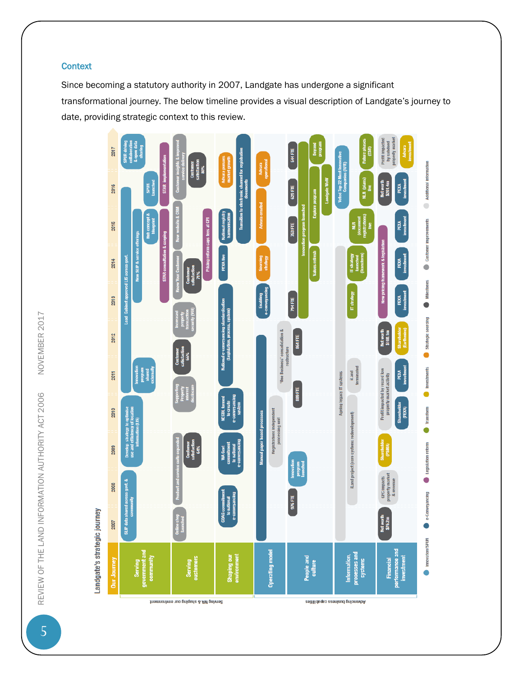### **Context**

Since becoming a statutory authority in 2007, Landgate has undergone a significant transformational journey. The below timeline provides a visual description of Landgate's journey to date, providing strategic context to this review.



NOVEMBER 2017 5REVIEW OF THE LAND INFORMATION AUTHORITY ACT 2006 NOVEMBER 2017 REVIEW OF THE LAND INFORMATION AUTHORITY ACT 2006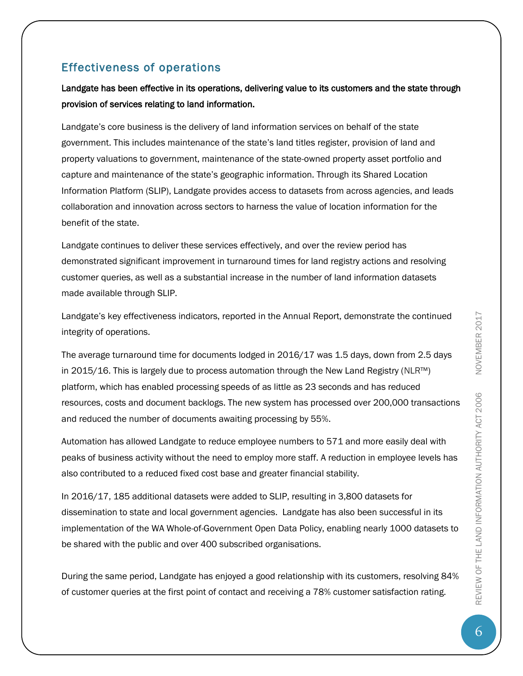# <span id="page-6-0"></span>Effectiveness of operations

Landgate has been effective in its operations, delivering value to its customers and the state through provision of services relating to land information.

Landgate's core business is the delivery of land information services on behalf of the state government. This includes maintenance of the state's land titles register, provision of land and property valuations to government, maintenance of the state-owned property asset portfolio and capture and maintenance of the state's geographic information. Through its Shared Location Information Platform (SLIP), Landgate provides access to datasets from across agencies, and leads collaboration and innovation across sectors to harness the value of location information for the benefit of the state.

Landgate continues to deliver these services effectively, and over the review period has demonstrated significant improvement in turnaround times for land registry actions and resolving customer queries, as well as a substantial increase in the number of land information datasets made available through SLIP.

Landgate's key effectiveness indicators, reported in the Annual Report, demonstrate the continued integrity of operations.

The average turnaround time for documents lodged in 2016/17 was 1.5 days, down from 2.5 days in 2015/16. This is largely due to process automation through the New Land Registry (NLR™) platform, which has enabled processing speeds of as little as 23 seconds and has reduced resources, costs and document backlogs. The new system has processed over 200,000 transactions and reduced the number of documents awaiting processing by 55%.

Automation has allowed Landgate to reduce employee numbers to 571 and more easily deal with peaks of business activity without the need to employ more staff. A reduction in employee levels has also contributed to a reduced fixed cost base and greater financial stability.

In 2016/17, 185 additional datasets were added to SLIP, resulting in 3,800 datasets for dissemination to state and local government agencies. Landgate has also been successful in its implementation of the WA Whole-of-Government Open Data Policy, enabling nearly 1000 datasets to be shared with the public and over 400 subscribed organisations.

During the same period, Landgate has enjoyed a good relationship with its customers, resolving 84% of customer queries at the first point of contact and receiving a 78% customer satisfaction rating.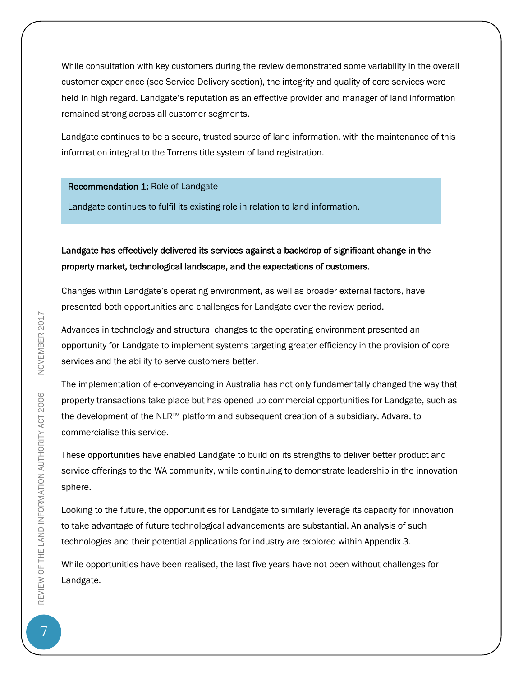While consultation with key customers during the review demonstrated some variability in the overall customer experience (see Service Delivery section), the integrity and quality of core services were held in high regard. Landgate's reputation as an effective provider and manager of land information remained strong across all customer segments.

Landgate continues to be a secure, trusted source of land information, with the maintenance of this information integral to the Torrens title system of land registration.

### Recommendation 1: Role of Landgate

Landgate continues to fulfil its existing role in relation to land information.

### Landgate has effectively delivered its services against a backdrop of significant change in the property market, technological landscape, and the expectations of customers.

Changes within Landgate's operating environment, as well as broader external factors, have presented both opportunities and challenges for Landgate over the review period.

Advances in technology and structural changes to the operating environment presented an opportunity for Landgate to implement systems targeting greater efficiency in the provision of core services and the ability to serve customers better.

The implementation of e-conveyancing in Australia has not only fundamentally changed the way that property transactions take place but has opened up commercial opportunities for Landgate, such as the development of the NLR™ platform and subsequent creation of a subsidiary, Advara, to commercialise this service.

These opportunities have enabled Landgate to build on its strengths to deliver better product and service offerings to the WA community, while continuing to demonstrate leadership in the innovation sphere.

Looking to the future, the opportunities for Landgate to similarly leverage its capacity for innovation to take advantage of future technological advancements are substantial. An analysis of such technologies and their potential applications for industry are explored within Appendix 3.

While opportunities have been realised, the last five years have not been without challenges for Landgate.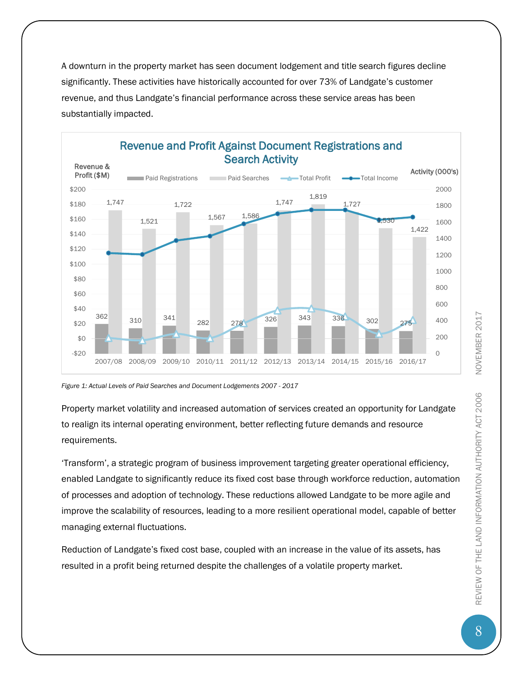A downturn in the property market has seen document lodgement and title search figures decline significantly. These activities have historically accounted for over 73% of Landgate's customer revenue, and thus Landgate's financial performance across these service areas has been substantially impacted.



*Figure 1: Actual Levels of Paid Searches and Document Lodgements 2007 - 2017*

Property market volatility and increased automation of services created an opportunity for Landgate to realign its internal operating environment, better reflecting future demands and resource requirements.

'Transform', a strategic program of business improvement targeting greater operational efficiency, enabled Landgate to significantly reduce its fixed cost base through workforce reduction, automation of processes and adoption of technology. These reductions allowed Landgate to be more agile and improve the scalability of resources, leading to a more resilient operational model, capable of better managing external fluctuations.

Reduction of Landgate's fixed cost base, coupled with an increase in the value of its assets, has resulted in a profit being returned despite the challenges of a volatile property market.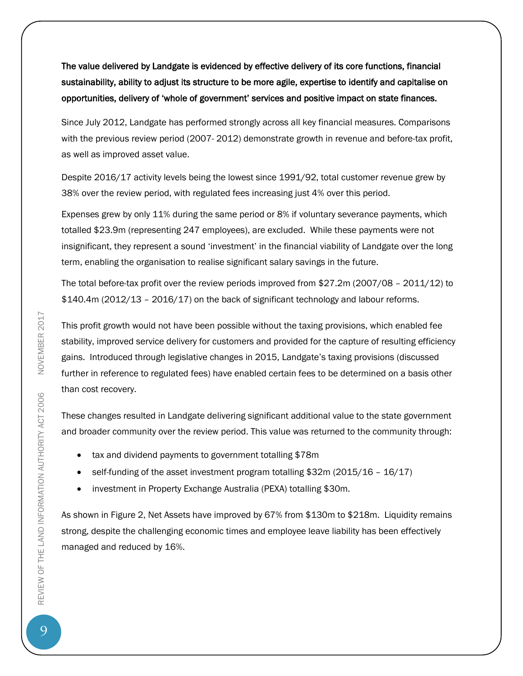The value delivered by Landgate is evidenced by effective delivery of its core functions, financial sustainability, ability to adjust its structure to be more agile, expertise to identify and capitalise on opportunities, delivery of 'whole of government' services and positive impact on state finances.

Since July 2012, Landgate has performed strongly across all key financial measures. Comparisons with the previous review period (2007- 2012) demonstrate growth in revenue and before-tax profit, as well as improved asset value.

Despite 2016/17 activity levels being the lowest since 1991/92, total customer revenue grew by 38% over the review period, with regulated fees increasing just 4% over this period.

Expenses grew by only 11% during the same period or 8% if voluntary severance payments, which totalled \$23.9m (representing 247 employees), are excluded. While these payments were not insignificant, they represent a sound 'investment' in the financial viability of Landgate over the long term, enabling the organisation to realise significant salary savings in the future.

The total before-tax profit over the review periods improved from \$27.2m (2007/08 – 2011/12) to \$140.4m (2012/13 – 2016/17) on the back of significant technology and labour reforms.

This profit growth would not have been possible without the taxing provisions, which enabled fee stability, improved service delivery for customers and provided for the capture of resulting efficiency gains. Introduced through legislative changes in 2015, Landgate's taxing provisions (discussed further in reference to regulated fees) have enabled certain fees to be determined on a basis other than cost recovery.

These changes resulted in Landgate delivering significant additional value to the state government and broader community over the review period. This value was returned to the community through:

- tax and dividend payments to government totalling \$78m
- self-funding of the asset investment program totalling \$32m (2015/16 16/17)
- investment in Property Exchange Australia (PEXA) totalling \$30m.

As shown in Figure 2, Net Assets have improved by 67% from \$130m to \$218m. Liquidity remains strong, despite the challenging economic times and employee leave liability has been effectively managed and reduced by 16%.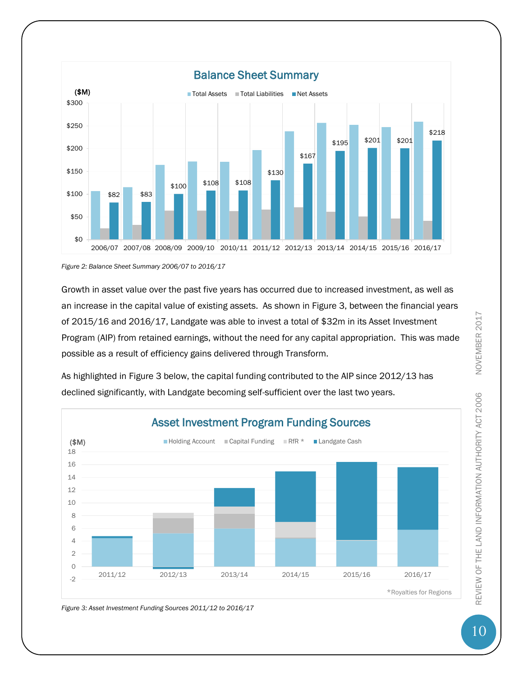

*Figure 2: Balance Sheet Summary 2006/07 to 2016/17*

Growth in asset value over the past five years has occurred due to increased investment, as well as an increase in the capital value of existing assets. As shown in Figure 3, between the financial years of 2015/16 and 2016/17, Landgate was able to invest a total of \$32m in its Asset Investment Program (AIP) from retained earnings, without the need for any capital appropriation. This was made possible as a result of efficiency gains delivered through Transform.

As highlighted in Figure 3 below, the capital funding contributed to the AIP since 2012/13 has declined significantly, with Landgate becoming self-sufficient over the last two years.



*Figure 3: Asset Investment Funding Sources 2011/12 to 2016/17*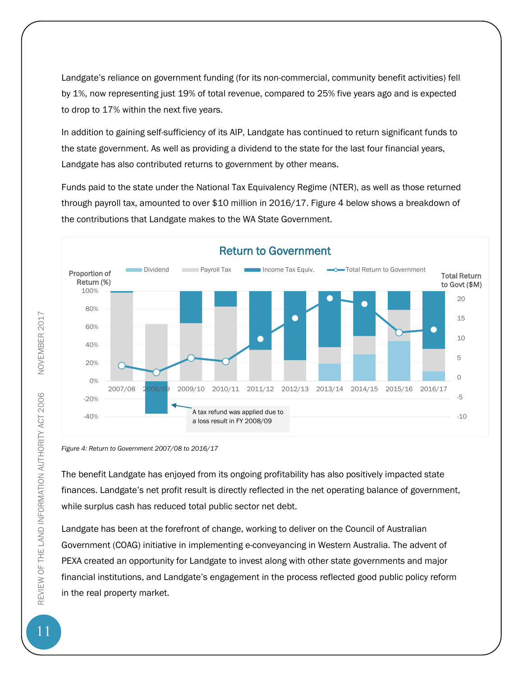Landgate's reliance on government funding (for its non-commercial, community benefit activities) fell by 1%, now representing just 19% of total revenue, compared to 25% five years ago and is expected to drop to 17% within the next five years.

In addition to gaining self-sufficiency of its AIP, Landgate has continued to return significant funds to the state government. As well as providing a dividend to the state for the last four financial years, Landgate has also contributed returns to government by other means.

Funds paid to the state under the National Tax Equivalency Regime (NTER), as well as those returned through payroll tax, amounted to over \$10 million in 2016/17. Figure 4 below shows a breakdown of the contributions that Landgate makes to the WA State Government.



*Figure 4: Return to Government 2007/08 to 2016/17*

The benefit Landgate has enjoyed from its ongoing profitability has also positively impacted state finances. Landgate's net profit result is directly reflected in the net operating balance of government, while surplus cash has reduced total public sector net debt.

Landgate has been at the forefront of change, working to deliver on the Council of Australian Government (COAG) initiative in implementing e-conveyancing in Western Australia. The advent of PEXA created an opportunity for Landgate to invest along with other state governments and major financial institutions, and Landgate's engagement in the process reflected good public policy reform in the real property market.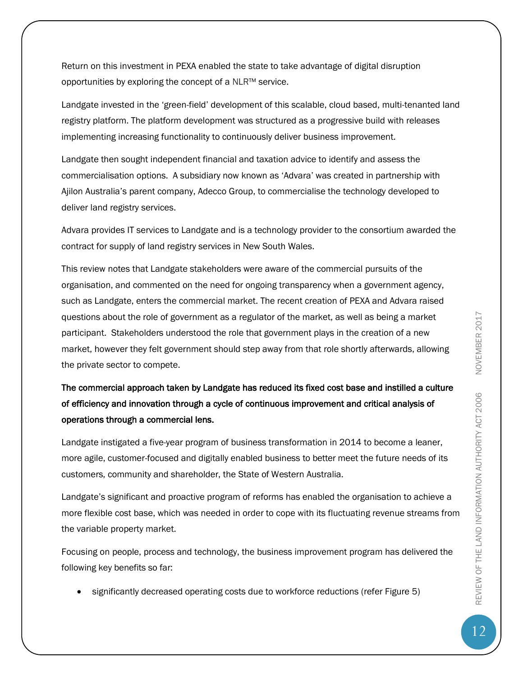Return on this investment in PEXA enabled the state to take advantage of digital disruption opportunities by exploring the concept of a NLR™ service.

Landgate invested in the 'green-field' development of this scalable, cloud based, multi-tenanted land registry platform. The platform development was structured as a progressive build with releases implementing increasing functionality to continuously deliver business improvement.

Landgate then sought independent financial and taxation advice to identify and assess the commercialisation options. A subsidiary now known as 'Advara' was created in partnership with Ajilon Australia's parent company, Adecco Group, to commercialise the technology developed to deliver land registry services.

Advara provides IT services to Landgate and is a technology provider to the consortium awarded the contract for supply of land registry services in New South Wales.

This review notes that Landgate stakeholders were aware of the commercial pursuits of the organisation, and commented on the need for ongoing transparency when a government agency, such as Landgate, enters the commercial market. The recent creation of PEXA and Advara raised questions about the role of government as a regulator of the market, as well as being a market participant. Stakeholders understood the role that government plays in the creation of a new market, however they felt government should step away from that role shortly afterwards, allowing the private sector to compete.

# The commercial approach taken by Landgate has reduced its fixed cost base and instilled a culture of efficiency and innovation through a cycle of continuous improvement and critical analysis of operations through a commercial lens.

Landgate instigated a five-year program of business transformation in 2014 to become a leaner, more agile, customer-focused and digitally enabled business to better meet the future needs of its customers, community and shareholder, the State of Western Australia.

Landgate's significant and proactive program of reforms has enabled the organisation to achieve a more flexible cost base, which was needed in order to cope with its fluctuating revenue streams from the variable property market.

Focusing on people, process and technology, the business improvement program has delivered the following key benefits so far:

significantly decreased operating costs due to workforce reductions (refer Figure 5)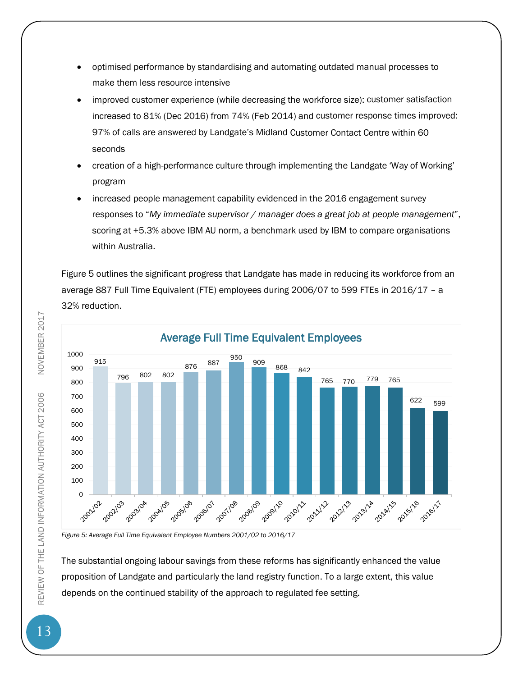- optimised performance by standardising and automating outdated manual processes to make them less resource intensive
- improved customer experience (while decreasing the workforce size): customer satisfaction increased to 81% (Dec 2016) from 74% (Feb 2014) and customer response times improved: 97% of calls are answered by Landgate's Midland Customer Contact Centre within 60 seconds
- creation of a high-performance culture through implementing the Landgate 'Way of Working' program
- increased people management capability evidenced in the 2016 engagement survey responses to "*My immediate supervisor / manager does a great job at people management*", scoring at +5.3% above IBM AU norm, a benchmark used by IBM to compare organisations within Australia.

Figure 5 outlines the significant progress that Landgate has made in reducing its workforce from an average 887 Full Time Equivalent (FTE) employees during 2006/07 to 599 FTEs in 2016/17 – a 32% reduction.



*Figure 5: Average Full Time Equivalent Employee Numbers 2001/02 to 2016/17*

The substantial ongoing labour savings from these reforms has significantly enhanced the value proposition of Landgate and particularly the land registry function. To a large extent, this value depends on the continued stability of the approach to regulated fee setting.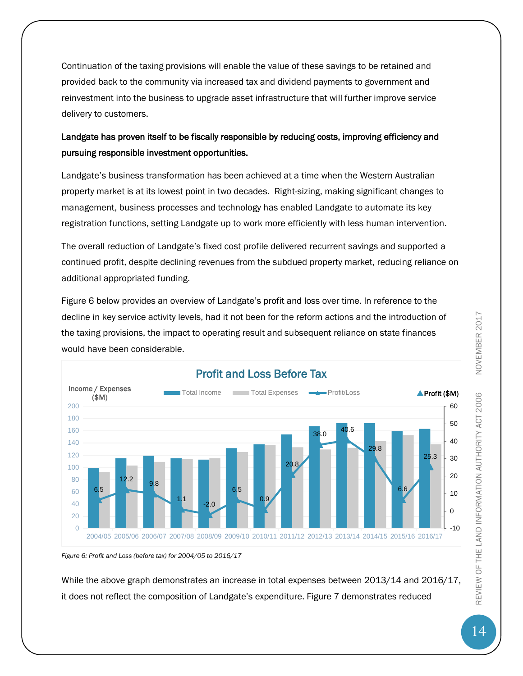Continuation of the taxing provisions will enable the value of these savings to be retained and provided back to the community via increased tax and dividend payments to government and reinvestment into the business to upgrade asset infrastructure that will further improve service delivery to customers.

### Landgate has proven itself to be fiscally responsible by reducing costs, improving efficiency and pursuing responsible investment opportunities.

Landgate's business transformation has been achieved at a time when the Western Australian property market is at its lowest point in two decades. Right-sizing, making significant changes to management, business processes and technology has enabled Landgate to automate its key registration functions, setting Landgate up to work more efficiently with less human intervention.

The overall reduction of Landgate's fixed cost profile delivered recurrent savings and supported a continued profit, despite declining revenues from the subdued property market, reducing reliance on additional appropriated funding.

Figure 6 below provides an overview of Landgate's profit and loss over time. In reference to the decline in key service activity levels, had it not been for the reform actions and the introduction of the taxing provisions, the impact to operating result and subsequent reliance on state finances would have been considerable.



*Figure 6: Profit and Loss (before tax) for 2004/05 to 2016/17*

While the above graph demonstrates an increase in total expenses between 2013/14 and 2016/17, it does not reflect the composition of Landgate's expenditure. Figure 7 demonstrates reduced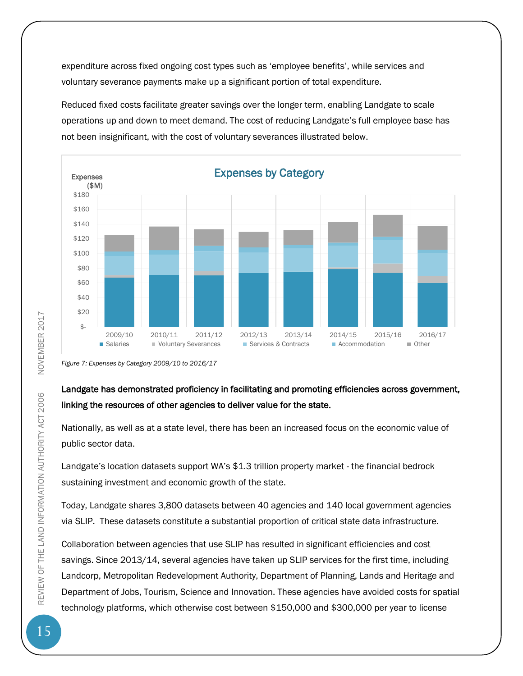expenditure across fixed ongoing cost types such as 'employee benefits', while services and voluntary severance payments make up a significant portion of total expenditure.

Reduced fixed costs facilitate greater savings over the longer term, enabling Landgate to scale operations up and down to meet demand. The cost of reducing Landgate's full employee base has not been insignificant, with the cost of voluntary severances illustrated below.



*Figure 7: Expenses by Category 2009/10 to 2016/17* 

### Landgate has demonstrated proficiency in facilitating and promoting efficiencies across government, linking the resources of other agencies to deliver value for the state.

Nationally, as well as at a state level, there has been an increased focus on the economic value of public sector data.

Landgate's location datasets support WA's \$1.3 trillion property market - the financial bedrock sustaining investment and economic growth of the state.

Today, Landgate shares 3,800 datasets between 40 agencies and 140 local government agencies via SLIP. These datasets constitute a substantial proportion of critical state data infrastructure.

Collaboration between agencies that use SLIP has resulted in significant efficiencies and cost savings. Since 2013/14, several agencies have taken up SLIP services for the first time, including Landcorp, Metropolitan Redevelopment Authority, Department of Planning, Lands and Heritage and Department of Jobs, Tourism, Science and Innovation. These agencies have avoided costs for spatial technology platforms, which otherwise cost between \$150,000 and \$300,000 per year to license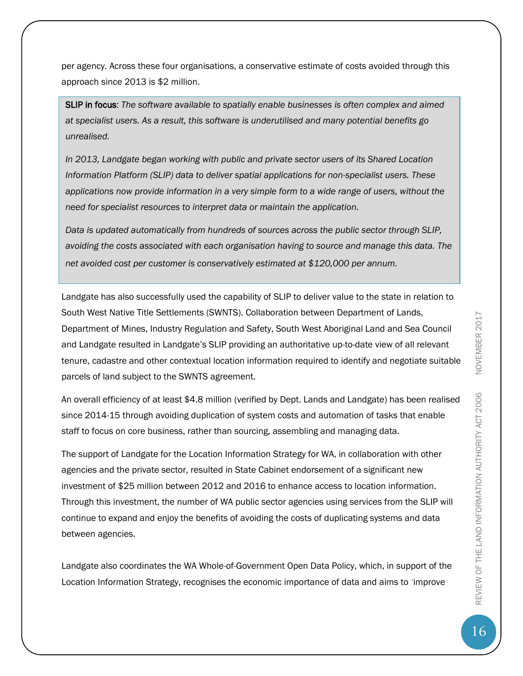per agency. Across these four organisations, a conservative estimate of costs avoided through this approach since 2013 is \$2 million.

SLIP in focus: *The software available to spatially enable businesses is often complex and aimed at specialist users. As a result, this software is underutilised and many potential benefits go unrealised.* 

*In 2013, Landgate began working with public and private sector users of its Shared Location Information Platform (SLIP) data to deliver spatial applications for non-specialist users. These applications now provide information in a very simple form to a wide range of users, without the need for specialist resources to interpret data or maintain the application.* 

*Data is updated automatically from hundreds of sources across the public sector through SLIP, avoiding the costs associated with each organisation having to source and manage this data. The net avoided cost per customer is conservatively estimated at \$120,000 per annum.*

Landgate has also successfully used the capability of SLIP to deliver value to the state in relation to South West Native Title Settlements (SWNTS). Collaboration between Department of Lands, Department of Mines, Industry Regulation and Safety, South West Aboriginal Land and Sea Council and Landgate resulted in Landgate's SLIP providing an authoritative up-to-date view of all relevant tenure, cadastre and other contextual location information required to identify and negotiate suitable parcels of land subject to the SWNTS agreement.

An overall efficiency of at least \$4.8 million (verified by Dept. Lands and Landgate) has been realised since 2014-15 through avoiding duplication of system costs and automation of tasks that enable staff to focus on core business, rather than sourcing, assembling and managing data.

The support of Landgate for the Location Information Strategy for WA, in collaboration with other agencies and the private sector, resulted in State Cabinet endorsement of a significant new investment of \$25 million between 2012 and 2016 to enhance access to location information. Through this investment, the number of WA public sector agencies using services from the SLIP will continue to expand and enjoy the benefits of avoiding the costs of duplicating systems and data between agencies.

Landgate also coordinates the WA Whole-of-Government Open Data Policy, which, in support of the Location Information Strategy, recognises the economic importance of data and aims to *'*improve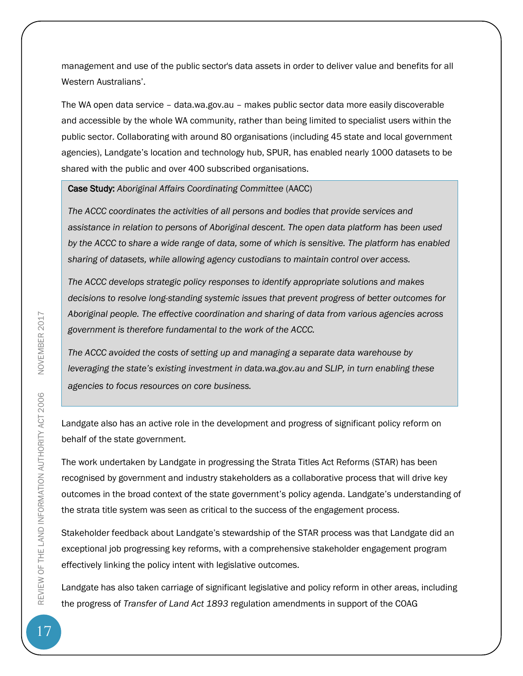management and use of the public sector's data assets in order to deliver value and benefits for all Western Australians'.

The WA open data service – data.wa.gov.au – makes public sector data more easily discoverable and accessible by the whole WA community, rather than being limited to specialist users within the public sector. Collaborating with around 80 organisations (including 45 state and local government agencies), Landgate's location and technology hub, SPUR, has enabled nearly 1000 datasets to be shared with the public and over 400 subscribed organisations.

Case Study: *Aboriginal Affairs Coordinating Committee* (AACC)

*The ACCC coordinates the activities of all persons and bodies that provide services and assistance in relation to persons of Aboriginal descent. The open data platform has been used by the ACCC to share a wide range of data, some of which is sensitive. The platform has enabled sharing of datasets, while allowing agency custodians to maintain control over access.* 

*The ACCC develops strategic policy responses to identify appropriate solutions and makes decisions to resolve long-standing systemic issues that prevent progress of better outcomes for Aboriginal people. The effective coordination and sharing of data from various agencies across government is therefore fundamental to the work of the ACCC.* 

*The ACCC avoided the costs of setting up and managing a separate data warehouse by leveraging the state's existing investment in data.wa.gov.au and SLIP, in turn enabling these agencies to focus resources on core business.* 

Landgate also has an active role in the development and progress of significant policy reform on behalf of the state government.

The work undertaken by Landgate in progressing the Strata Titles Act Reforms (STAR) has been recognised by government and industry stakeholders as a collaborative process that will drive key outcomes in the broad context of the state government's policy agenda. Landgate's understanding of the strata title system was seen as critical to the success of the engagement process.

Stakeholder feedback about Landgate's stewardship of the STAR process was that Landgate did an exceptional job progressing key reforms, with a comprehensive stakeholder engagement program effectively linking the policy intent with legislative outcomes.

Landgate has also taken carriage of significant legislative and policy reform in other areas, including the progress of *Transfer of Land Act 1893* regulation amendments in support of the COAG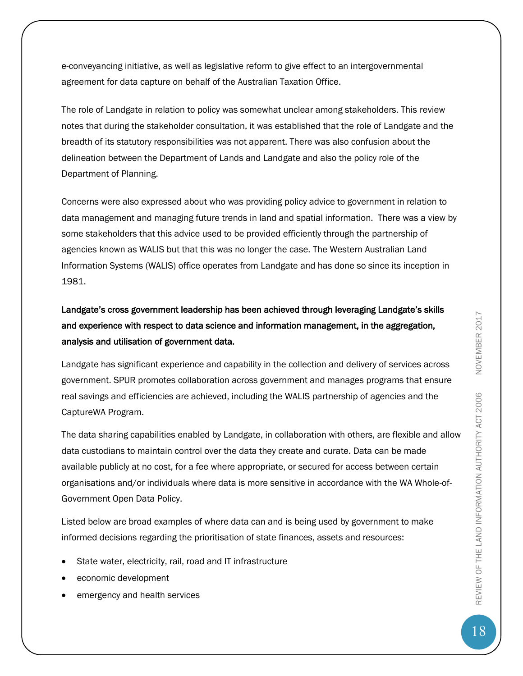e-conveyancing initiative, as well as legislative reform to give effect to an intergovernmental agreement for data capture on behalf of the Australian Taxation Office.

The role of Landgate in relation to policy was somewhat unclear among stakeholders. This review notes that during the stakeholder consultation, it was established that the role of Landgate and the breadth of its statutory responsibilities was not apparent. There was also confusion about the delineation between the Department of Lands and Landgate and also the policy role of the Department of Planning.

Concerns were also expressed about who was providing policy advice to government in relation to data management and managing future trends in land and spatial information. There was a view by some stakeholders that this advice used to be provided efficiently through the partnership of agencies known as WALIS but that this was no longer the case. The Western Australian Land Information Systems (WALIS) office operates from Landgate and has done so since its inception in 1981.

Landgate's cross government leadership has been achieved through leveraging Landgate's skills and experience with respect to data science and information management, in the aggregation, analysis and utilisation of government data.

Landgate has significant experience and capability in the collection and delivery of services across government. SPUR promotes collaboration across government and manages programs that ensure real savings and efficiencies are achieved, including the WALIS partnership of agencies and the CaptureWA Program.

The data sharing capabilities enabled by Landgate, in collaboration with others, are flexible and allow data custodians to maintain control over the data they create and curate. Data can be made available publicly at no cost, for a fee where appropriate, or secured for access between certain organisations and/or individuals where data is more sensitive in accordance with the WA Whole-of-Government Open Data Policy.

Listed below are broad examples of where data can and is being used by government to make informed decisions regarding the prioritisation of state finances, assets and resources:

- State water, electricity, rail, road and IT infrastructure
- economic development
- emergency and health services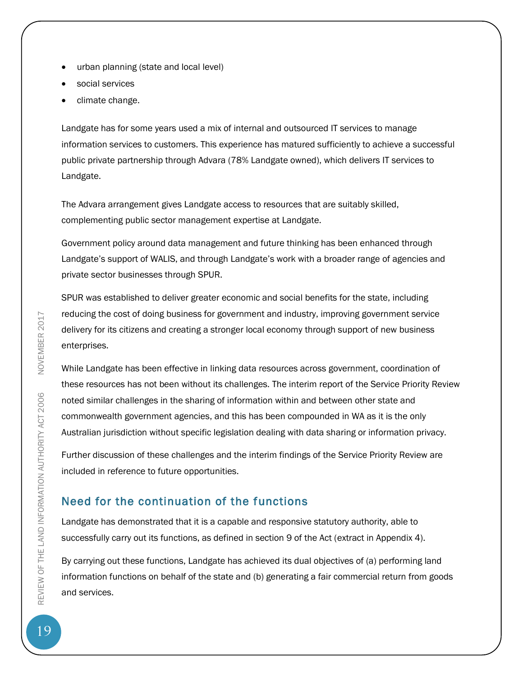- urban planning (state and local level)
- social services
- climate change.

Landgate has for some years used a mix of internal and outsourced IT services to manage information services to customers. This experience has matured sufficiently to achieve a successful public private partnership through Advara (78% Landgate owned), which delivers IT services to Landgate.

The Advara arrangement gives Landgate access to resources that are suitably skilled, complementing public sector management expertise at Landgate.

Government policy around data management and future thinking has been enhanced through Landgate's support of WALIS, and through Landgate's work with a broader range of agencies and private sector businesses through SPUR.

SPUR was established to deliver greater economic and social benefits for the state, including reducing the cost of doing business for government and industry, improving government service delivery for its citizens and creating a stronger local economy through support of new business enterprises.

While Landgate has been effective in linking data resources across government, coordination of these resources has not been without its challenges. The interim report of the Service Priority Review noted similar challenges in the sharing of information within and between other state and commonwealth government agencies, and this has been compounded in WA as it is the only Australian jurisdiction without specific legislation dealing with data sharing or information privacy.

Further discussion of these challenges and the interim findings of the Service Priority Review are included in reference to future opportunities.

# <span id="page-19-0"></span>Need for the continuation of the functions

Landgate has demonstrated that it is a capable and responsive statutory authority, able to successfully carry out its functions, as defined in section 9 of the Act (extract in Appendix 4).

By carrying out these functions, Landgate has achieved its dual objectives of (a) performing land information functions on behalf of the state and (b) generating a fair commercial return from goods and services.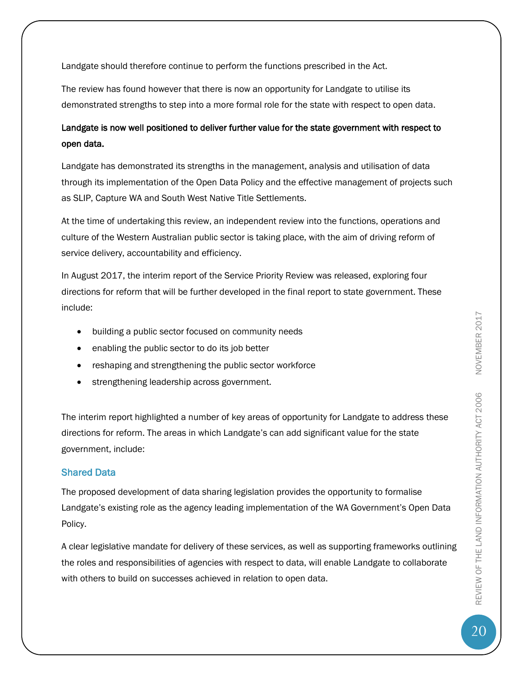Landgate should therefore continue to perform the functions prescribed in the Act.

The review has found however that there is now an opportunity for Landgate to utilise its demonstrated strengths to step into a more formal role for the state with respect to open data.

### Landgate is now well positioned to deliver further value for the state government with respect to open data.

Landgate has demonstrated its strengths in the management, analysis and utilisation of data through its implementation of the Open Data Policy and the effective management of projects such as SLIP, Capture WA and South West Native Title Settlements.

At the time of undertaking this review, an independent review into the functions, operations and culture of the Western Australian public sector is taking place, with the aim of driving reform of service delivery, accountability and efficiency.

In August 2017, the interim report of the Service Priority Review was released, exploring four directions for reform that will be further developed in the final report to state government. These include:

- building a public sector focused on community needs
- enabling the public sector to do its job better
- reshaping and strengthening the public sector workforce
- strengthening leadership across government.

The interim report highlighted a number of key areas of opportunity for Landgate to address these directions for reform. The areas in which Landgate's can add significant value for the state government, include:

### Shared Data

The proposed development of data sharing legislation provides the opportunity to formalise Landgate's existing role as the agency leading implementation of the WA Government's Open Data Policy.

A clear legislative mandate for delivery of these services, as well as supporting frameworks outlining the roles and responsibilities of agencies with respect to data, will enable Landgate to collaborate with others to build on successes achieved in relation to open data.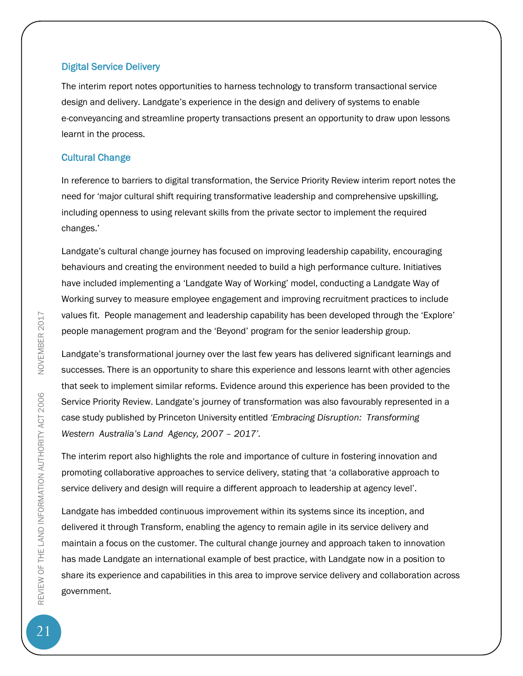### Digital Service Delivery

The interim report notes opportunities to harness technology to transform transactional service design and delivery. Landgate's experience in the design and delivery of systems to enable e-conveyancing and streamline property transactions present an opportunity to draw upon lessons learnt in the process.

### Cultural Change

In reference to barriers to digital transformation, the Service Priority Review interim report notes the need for 'major cultural shift requiring transformative leadership and comprehensive upskilling, including openness to using relevant skills from the private sector to implement the required changes.'

Landgate's cultural change journey has focused on improving leadership capability, encouraging behaviours and creating the environment needed to build a high performance culture. Initiatives have included implementing a 'Landgate Way of Working' model, conducting a Landgate Way of Working survey to measure employee engagement and improving recruitment practices to include values fit. People management and leadership capability has been developed through the 'Explore' people management program and the 'Beyond' program for the senior leadership group.

Landgate's transformational journey over the last few years has delivered significant learnings and successes. There is an opportunity to share this experience and lessons learnt with other agencies that seek to implement similar reforms. Evidence around this experience has been provided to the Service Priority Review. Landgate's journey of transformation was also favourably represented in a case study published by Princeton University entitled *'Embracing Disruption: Transforming Western Australia's Land Agency, 2007 – 2017'.*

The interim report also highlights the role and importance of culture in fostering innovation and promoting collaborative approaches to service delivery, stating that 'a collaborative approach to service delivery and design will require a different approach to leadership at agency level'.

Landgate has imbedded continuous improvement within its systems since its inception, and delivered it through Transform, enabling the agency to remain agile in its service delivery and maintain a focus on the customer. The cultural change journey and approach taken to innovation has made Landgate an international example of best practice, with Landgate now in a position to share its experience and capabilities in this area to improve service delivery and collaboration across government.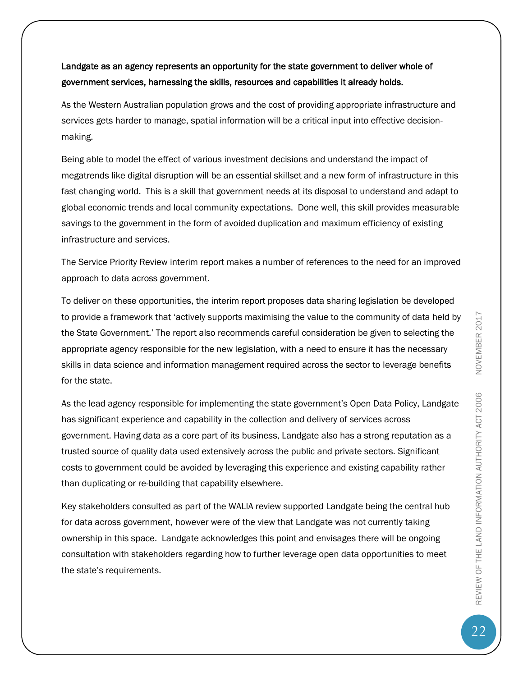As the Western Australian population grows and the cost of providing appropriate infrastructure and services gets harder to manage, spatial information will be a critical input into effective decisionmaking.

Being able to model the effect of various investment decisions and understand the impact of megatrends like digital disruption will be an essential skillset and a new form of infrastructure in this fast changing world. This is a skill that government needs at its disposal to understand and adapt to global economic trends and local community expectations. Done well, this skill provides measurable savings to the government in the form of avoided duplication and maximum efficiency of existing infrastructure and services.

The Service Priority Review interim report makes a number of references to the need for an improved approach to data across government.

To deliver on these opportunities, the interim report proposes data sharing legislation be developed to provide a framework that 'actively supports maximising the value to the community of data held by the State Government.' The report also recommends careful consideration be given to selecting the appropriate agency responsible for the new legislation, with a need to ensure it has the necessary skills in data science and information management required across the sector to leverage benefits for the state.

As the lead agency responsible for implementing the state government's Open Data Policy, Landgate has significant experience and capability in the collection and delivery of services across government. Having data as a core part of its business, Landgate also has a strong reputation as a trusted source of quality data used extensively across the public and private sectors. Significant costs to government could be avoided by leveraging this experience and existing capability rather than duplicating or re-building that capability elsewhere.

Key stakeholders consulted as part of the WALIA review supported Landgate being the central hub for data across government, however were of the view that Landgate was not currently taking ownership in this space. Landgate acknowledges this point and envisages there will be ongoing consultation with stakeholders regarding how to further leverage open data opportunities to meet the state's requirements.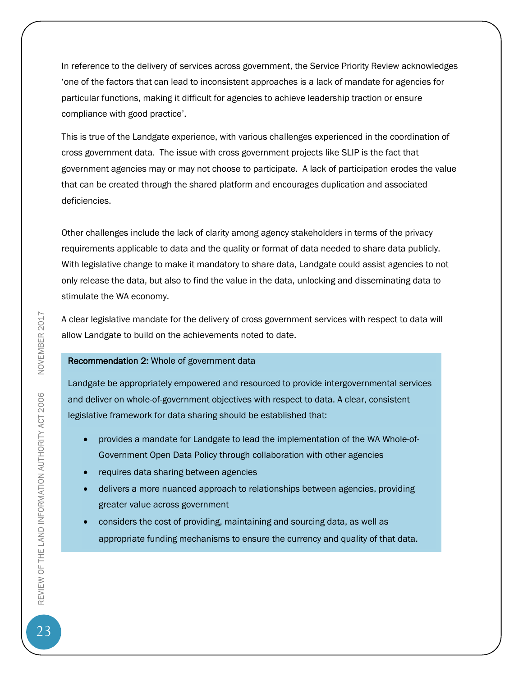In reference to the delivery of services across government, the Service Priority Review acknowledges 'one of the factors that can lead to inconsistent approaches is a lack of mandate for agencies for particular functions, making it difficult for agencies to achieve leadership traction or ensure compliance with good practice'.

This is true of the Landgate experience, with various challenges experienced in the coordination of cross government data. The issue with cross government projects like SLIP is the fact that government agencies may or may not choose to participate. A lack of participation erodes the value that can be created through the shared platform and encourages duplication and associated deficiencies.

Other challenges include the lack of clarity among agency stakeholders in terms of the privacy requirements applicable to data and the quality or format of data needed to share data publicly. With legislative change to make it mandatory to share data, Landgate could assist agencies to not only release the data, but also to find the value in the data, unlocking and disseminating data to stimulate the WA economy.

A clear legislative mandate for the delivery of cross government services with respect to data will allow Landgate to build on the achievements noted to date.

#### Recommendation 2: Whole of government data

Landgate be appropriately empowered and resourced to provide intergovernmental services and deliver on whole-of-government objectives with respect to data. A clear, consistent legislative framework for data sharing should be established that:

- provides a mandate for Landgate to lead the implementation of the WA Whole-of-Government Open Data Policy through collaboration with other agencies
- requires data sharing between agencies
- delivers a more nuanced approach to relationships between agencies, providing greater value across government
- considers the cost of providing, maintaining and sourcing data, as well as appropriate funding mechanisms to ensure the currency and quality of that data.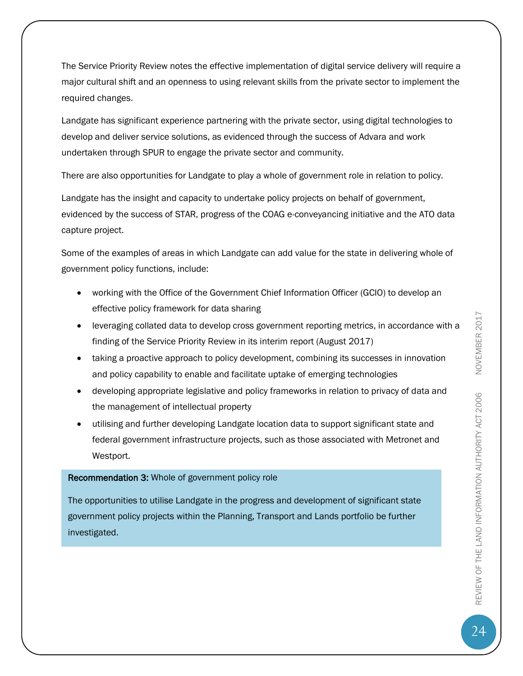The Service Priority Review notes the effective implementation of digital service delivery will require a major cultural shift and an openness to using relevant skills from the private sector to implement the required changes.

Landgate has significant experience partnering with the private sector, using digital technologies to develop and deliver service solutions, as evidenced through the success of Advara and work undertaken through SPUR to engage the private sector and community.

There are also opportunities for Landgate to play a whole of government role in relation to policy.

Landgate has the insight and capacity to undertake policy projects on behalf of government, evidenced by the success of STAR, progress of the COAG e-conveyancing initiative and the ATO data capture project.

Some of the examples of areas in which Landgate can add value for the state in delivering whole of government policy functions, include:

- working with the Office of the Government Chief Information Officer (GCIO) to develop an effective policy framework for data sharing
- leveraging collated data to develop cross government reporting metrics, in accordance with a finding of the Service Priority Review in its interim report (August 2017)
- taking a proactive approach to policy development, combining its successes in innovation and policy capability to enable and facilitate uptake of emerging technologies
- developing appropriate legislative and policy frameworks in relation to privacy of data and the management of intellectual property
- utilising and further developing Landgate location data to support significant state and federal government infrastructure projects, such as those associated with Metronet and Westport.

### Recommendation 3: Whole of government policy role

The opportunities to utilise Landgate in the progress and development of significant state government policy projects within the Planning, Transport and Lands portfolio be further investigated.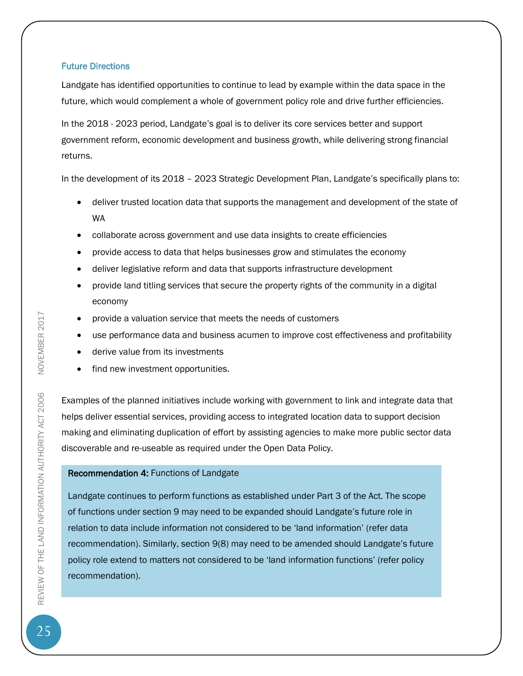### Future Directions

Landgate has identified opportunities to continue to lead by example within the data space in the future, which would complement a whole of government policy role and drive further efficiencies.

In the 2018 - 2023 period, Landgate's goal is to deliver its core services better and support government reform, economic development and business growth, while delivering strong financial returns.

In the development of its 2018 – 2023 Strategic Development Plan, Landgate's specifically plans to:

- deliver trusted location data that supports the management and development of the state of WA
- collaborate across government and use data insights to create efficiencies
- provide access to data that helps businesses grow and stimulates the economy
- deliver legislative reform and data that supports infrastructure development
- provide land titling services that secure the property rights of the community in a digital economy
- provide a valuation service that meets the needs of customers
- use performance data and business acumen to improve cost effectiveness and profitability
- derive value from its investments
- find new investment opportunities.

Examples of the planned initiatives include working with government to link and integrate data that helps deliver essential services, providing access to integrated location data to support decision making and eliminating duplication of effort by assisting agencies to make more public sector data discoverable and re-useable as required under the Open Data Policy.

### Recommendation 4: Functions of Landgate

Landgate continues to perform functions as established under Part 3 of the Act. The scope of functions under section 9 may need to be expanded should Landgate's future role in relation to data include information not considered to be 'land information' (refer data recommendation). Similarly, section 9(8) may need to be amended should Landgate's future policy role extend to matters not considered to be 'land information functions' (refer policy recommendation).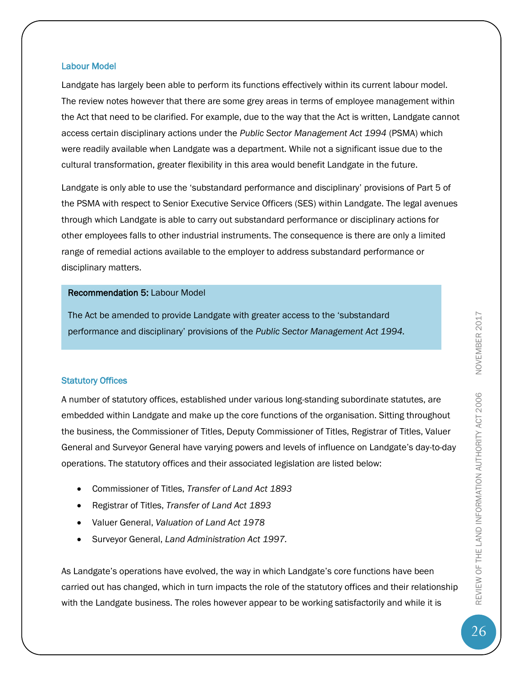### Labour Model

Landgate has largely been able to perform its functions effectively within its current labour model. The review notes however that there are some grey areas in terms of employee management within the Act that need to be clarified. For example, due to the way that the Act is written, Landgate cannot access certain disciplinary actions under the *Public Sector Management Act 1994* (PSMA) which were readily available when Landgate was a department. While not a significant issue due to the cultural transformation, greater flexibility in this area would benefit Landgate in the future.

Landgate is only able to use the 'substandard performance and disciplinary' provisions of Part 5 of the PSMA with respect to Senior Executive Service Officers (SES) within Landgate. The legal avenues through which Landgate is able to carry out substandard performance or disciplinary actions for other employees falls to other industrial instruments. The consequence is there are only a limited range of remedial actions available to the employer to address substandard performance or disciplinary matters.

### Recommendation 5: Labour Model

The Act be amended to provide Landgate with greater access to the 'substandard performance and disciplinary' provisions of the *Public Sector Management Act 1994.* 

### Statutory Offices

A number of statutory offices, established under various long-standing subordinate statutes, are embedded within Landgate and make up the core functions of the organisation. Sitting throughout the business, the Commissioner of Titles, Deputy Commissioner of Titles, Registrar of Titles, Valuer General and Surveyor General have varying powers and levels of influence on Landgate's day-to-day operations. The statutory offices and their associated legislation are listed below:

- Commissioner of Titles, *Transfer of Land Act 1893*
- Registrar of Titles, *Transfer of Land Act 1893*
- Valuer General, *Valuation of Land Act 1978*
- Surveyor General, *Land Administration Act 1997.*

As Landgate's operations have evolved, the way in which Landgate's core functions have been carried out has changed, which in turn impacts the role of the statutory offices and their relationship with the Landgate business. The roles however appear to be working satisfactorily and while it is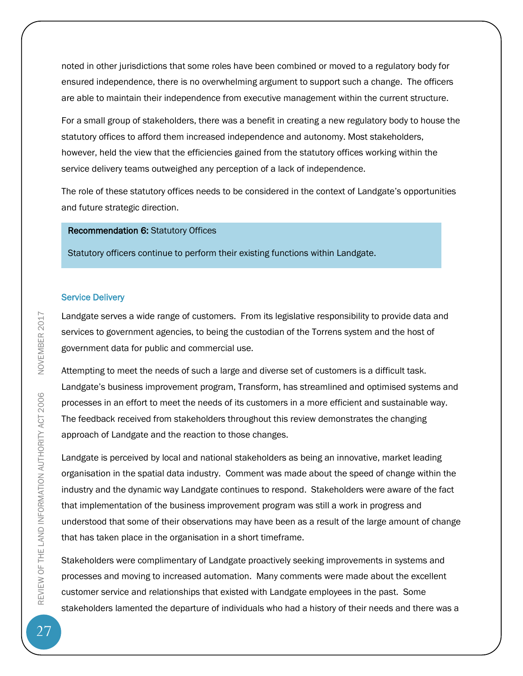noted in other jurisdictions that some roles have been combined or moved to a regulatory body for ensured independence, there is no overwhelming argument to support such a change. The officers are able to maintain their independence from executive management within the current structure.

For a small group of stakeholders, there was a benefit in creating a new regulatory body to house the statutory offices to afford them increased independence and autonomy. Most stakeholders, however, held the view that the efficiencies gained from the statutory offices working within the service delivery teams outweighed any perception of a lack of independence.

The role of these statutory offices needs to be considered in the context of Landgate's opportunities and future strategic direction.

### Recommendation 6: Statutory Offices

Statutory officers continue to perform their existing functions within Landgate.

#### Service Delivery

Landgate serves a wide range of customers. From its legislative responsibility to provide data and services to government agencies, to being the custodian of the Torrens system and the host of government data for public and commercial use.

Attempting to meet the needs of such a large and diverse set of customers is a difficult task. Landgate's business improvement program, Transform, has streamlined and optimised systems and processes in an effort to meet the needs of its customers in a more efficient and sustainable way. The feedback received from stakeholders throughout this review demonstrates the changing approach of Landgate and the reaction to those changes.

Landgate is perceived by local and national stakeholders as being an innovative, market leading organisation in the spatial data industry. Comment was made about the speed of change within the industry and the dynamic way Landgate continues to respond. Stakeholders were aware of the fact that implementation of the business improvement program was still a work in progress and understood that some of their observations may have been as a result of the large amount of change that has taken place in the organisation in a short timeframe.

Stakeholders were complimentary of Landgate proactively seeking improvements in systems and processes and moving to increased automation. Many comments were made about the excellent customer service and relationships that existed with Landgate employees in the past. Some stakeholders lamented the departure of individuals who had a history of their needs and there was a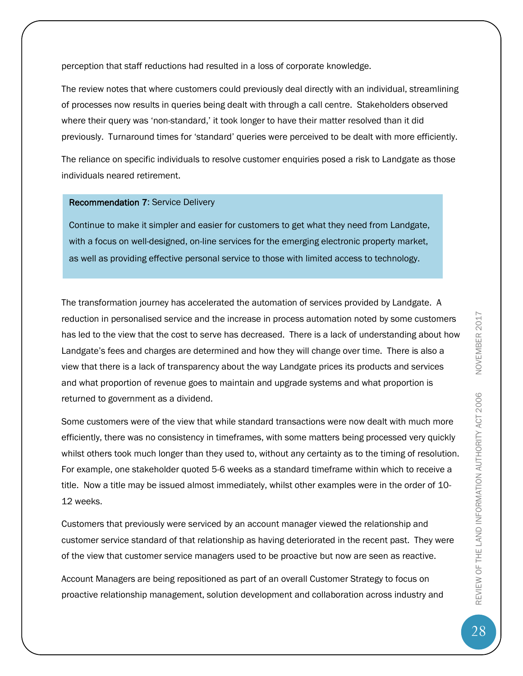perception that staff reductions had resulted in a loss of corporate knowledge.

The review notes that where customers could previously deal directly with an individual, streamlining of processes now results in queries being dealt with through a call centre. Stakeholders observed where their query was 'non-standard,' it took longer to have their matter resolved than it did previously. Turnaround times for 'standard' queries were perceived to be dealt with more efficiently.

The reliance on specific individuals to resolve customer enquiries posed a risk to Landgate as those individuals neared retirement.

### Recommendation 7: Service Delivery

Continue to make it simpler and easier for customers to get what they need from Landgate, with a focus on well-designed, on-line services for the emerging electronic property market, as well as providing effective personal service to those with limited access to technology.

The transformation journey has accelerated the automation of services provided by Landgate. A reduction in personalised service and the increase in process automation noted by some customers has led to the view that the cost to serve has decreased. There is a lack of understanding about how Landgate's fees and charges are determined and how they will change over time. There is also a view that there is a lack of transparency about the way Landgate prices its products and services and what proportion of revenue goes to maintain and upgrade systems and what proportion is returned to government as a dividend.

Some customers were of the view that while standard transactions were now dealt with much more efficiently, there was no consistency in timeframes, with some matters being processed very quickly whilst others took much longer than they used to, without any certainty as to the timing of resolution. For example, one stakeholder quoted 5-6 weeks as a standard timeframe within which to receive a title. Now a title may be issued almost immediately, whilst other examples were in the order of 10- 12 weeks.

Customers that previously were serviced by an account manager viewed the relationship and customer service standard of that relationship as having deteriorated in the recent past. They were of the view that customer service managers used to be proactive but now are seen as reactive.

Account Managers are being repositioned as part of an overall Customer Strategy to focus on proactive relationship management, solution development and collaboration across industry and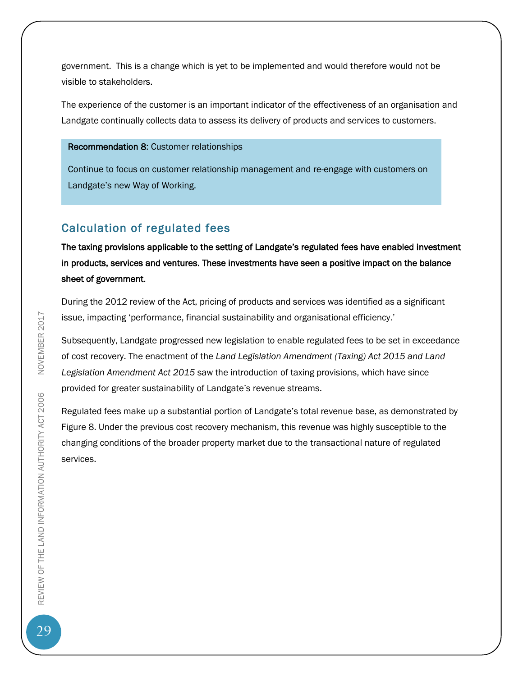government. This is a change which is yet to be implemented and would therefore would not be visible to stakeholders.

The experience of the customer is an important indicator of the effectiveness of an organisation and Landgate continually collects data to assess its delivery of products and services to customers.

#### Recommendation 8: Customer relationships

Continue to focus on customer relationship management and re-engage with customers on Landgate's new Way of Working.

### <span id="page-29-0"></span>Calculation of regulated fees

The taxing provisions applicable to the setting of Landgate's regulated fees have enabled investment in products, services and ventures. These investments have seen a positive impact on the balance sheet of government.

During the 2012 review of the Act, pricing of products and services was identified as a significant issue, impacting 'performance, financial sustainability and organisational efficiency.'

Subsequently, Landgate progressed new legislation to enable regulated fees to be set in exceedance of cost recovery. The enactment of the *Land Legislation Amendment (Taxing) Act 2015 and Land Legislation Amendment Act 2015* saw the introduction of taxing provisions, which have since provided for greater sustainability of Landgate's revenue streams.

Regulated fees make up a substantial portion of Landgate's total revenue base, as demonstrated by Figure 8. Under the previous cost recovery mechanism, this revenue was highly susceptible to the changing conditions of the broader property market due to the transactional nature of regulated services.

29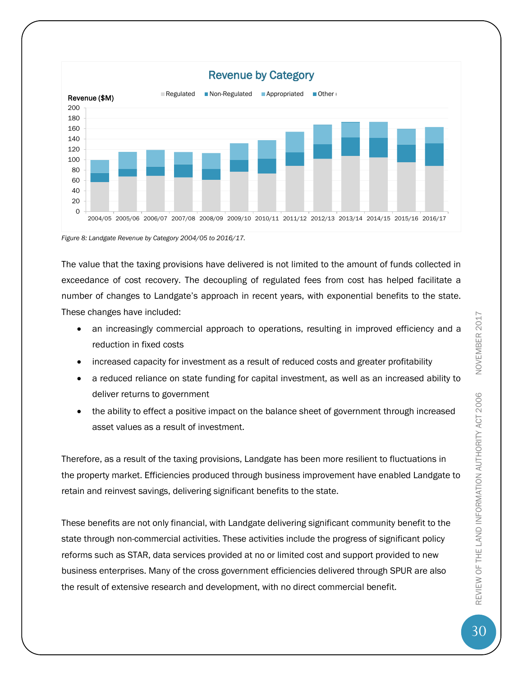

*Figure 8: Landgate Revenue by Category 2004/05 to 2016/17.*

The value that the taxing provisions have delivered is not limited to the amount of funds collected in exceedance of cost recovery. The decoupling of regulated fees from cost has helped facilitate a number of changes to Landgate's approach in recent years, with exponential benefits to the state. These changes have included:

- an increasingly commercial approach to operations, resulting in improved efficiency and a reduction in fixed costs
- increased capacity for investment as a result of reduced costs and greater profitability
- a reduced reliance on state funding for capital investment, as well as an increased ability to deliver returns to government
- the ability to effect a positive impact on the balance sheet of government through increased asset values as a result of investment.

Therefore, as a result of the taxing provisions, Landgate has been more resilient to fluctuations in the property market. Efficiencies produced through business improvement have enabled Landgate to retain and reinvest savings, delivering significant benefits to the state.

These benefits are not only financial, with Landgate delivering significant community benefit to the state through non-commercial activities. These activities include the progress of significant policy reforms such as STAR, data services provided at no or limited cost and support provided to new business enterprises. Many of the cross government efficiencies delivered through SPUR are also the result of extensive research and development, with no direct commercial benefit.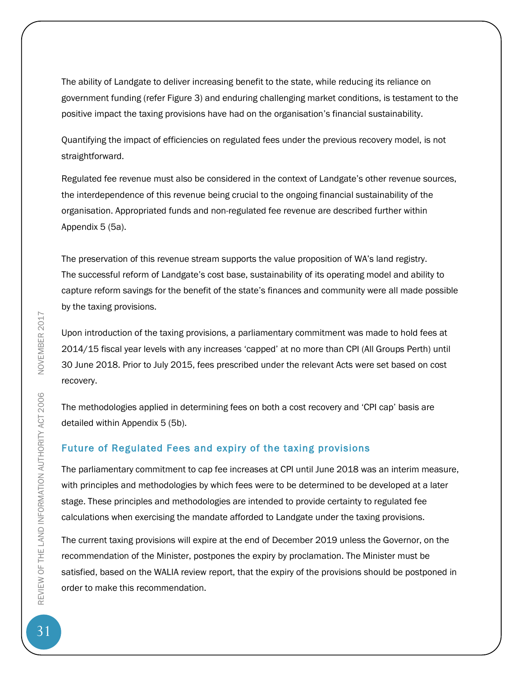The ability of Landgate to deliver increasing benefit to the state, while reducing its reliance on government funding (refer Figure 3) and enduring challenging market conditions, is testament to the positive impact the taxing provisions have had on the organisation's financial sustainability.

Quantifying the impact of efficiencies on regulated fees under the previous recovery model, is not straightforward.

Regulated fee revenue must also be considered in the context of Landgate's other revenue sources, the interdependence of this revenue being crucial to the ongoing financial sustainability of the organisation. Appropriated funds and non-regulated fee revenue are described further within Appendix 5 (5a).

The preservation of this revenue stream supports the value proposition of WA's land registry. The successful reform of Landgate's cost base, sustainability of its operating model and ability to capture reform savings for the benefit of the state's finances and community were all made possible by the taxing provisions.

Upon introduction of the taxing provisions, a parliamentary commitment was made to hold fees at 2014/15 fiscal year levels with any increases 'capped' at no more than CPI (All Groups Perth) until 30 June 2018. Prior to July 2015, fees prescribed under the relevant Acts were set based on cost recovery.

The methodologies applied in determining fees on both a cost recovery and 'CPI cap' basis are detailed within Appendix 5 (5b).

### Future of Regulated Fees and expiry of the taxing provisions

The parliamentary commitment to cap fee increases at CPI until June 2018 was an interim measure, with principles and methodologies by which fees were to be determined to be developed at a later stage. These principles and methodologies are intended to provide certainty to regulated fee calculations when exercising the mandate afforded to Landgate under the taxing provisions.

The current taxing provisions will expire at the end of December 2019 unless the Governor, on the recommendation of the Minister, postpones the expiry by proclamation. The Minister must be satisfied, based on the WALIA review report, that the expiry of the provisions should be postponed in order to make this recommendation.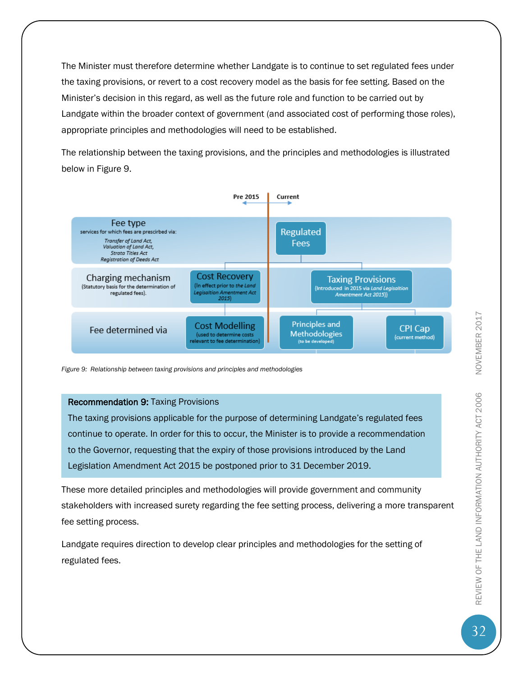The Minister must therefore determine whether Landgate is to continue to set regulated fees under the taxing provisions, or revert to a cost recovery model as the basis for fee setting. Based on the Minister's decision in this regard, as well as the future role and function to be carried out by Landgate within the broader context of government (and associated cost of performing those roles), appropriate principles and methodologies will need to be established.

The relationship between the taxing provisions, and the principles and methodologies is illustrated below in Figure 9.



*Figure 9: Relationship between taxing provisions and principles and methodologies*

#### Recommendation 9: Taxing Provisions

The taxing provisions applicable for the purpose of determining Landgate's regulated fees continue to operate. In order for this to occur, the Minister is to provide a recommendation to the Governor, requesting that the expiry of those provisions introduced by the Land Legislation Amendment Act 2015 be postponed prior to 31 December 2019.

These more detailed principles and methodologies will provide government and community stakeholders with increased surety regarding the fee setting process, delivering a more transparent fee setting process.

Landgate requires direction to develop clear principles and methodologies for the setting of regulated fees.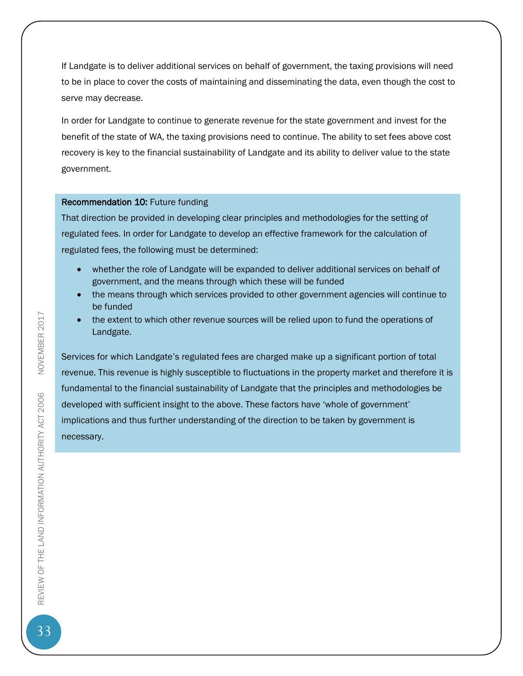If Landgate is to deliver additional services on behalf of government, the taxing provisions will need to be in place to cover the costs of maintaining and disseminating the data, even though the cost to serve may decrease.

In order for Landgate to continue to generate revenue for the state government and invest for the benefit of the state of WA, the taxing provisions need to continue. The ability to set fees above cost recovery is key to the financial sustainability of Landgate and its ability to deliver value to the state government.

#### Recommendation 10: Future funding

That direction be provided in developing clear principles and methodologies for the setting of regulated fees. In order for Landgate to develop an effective framework for the calculation of regulated fees, the following must be determined:

- whether the role of Landgate will be expanded to deliver additional services on behalf of government, and the means through which these will be funded
- the means through which services provided to other government agencies will continue to be funded
- the extent to which other revenue sources will be relied upon to fund the operations of Landgate.

Services for which Landgate's regulated fees are charged make up a significant portion of total revenue. This revenue is highly susceptible to fluctuations in the property market and therefore it is fundamental to the financial sustainability of Landgate that the principles and methodologies be developed with sufficient insight to the above. These factors have 'whole of government' implications and thus further understanding of the direction to be taken by government is necessary.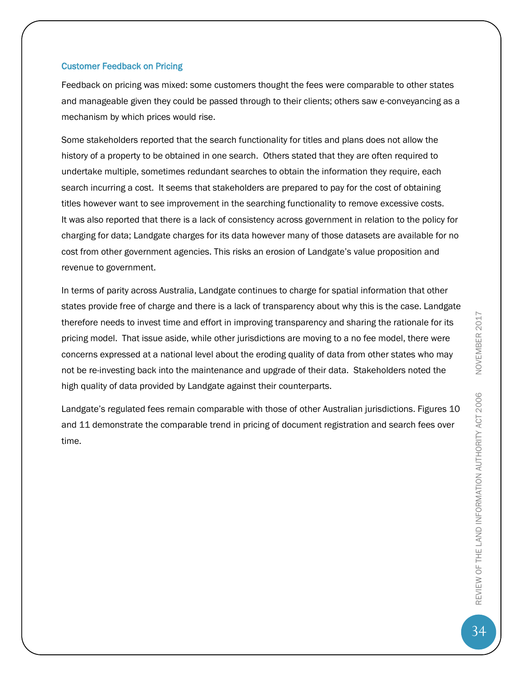#### Customer Feedback on Pricing

Feedback on pricing was mixed: some customers thought the fees were comparable to other states and manageable given they could be passed through to their clients; others saw e-conveyancing as a mechanism by which prices would rise.

Some stakeholders reported that the search functionality for titles and plans does not allow the history of a property to be obtained in one search. Others stated that they are often required to undertake multiple, sometimes redundant searches to obtain the information they require, each search incurring a cost. It seems that stakeholders are prepared to pay for the cost of obtaining titles however want to see improvement in the searching functionality to remove excessive costs. It was also reported that there is a lack of consistency across government in relation to the policy for charging for data; Landgate charges for its data however many of those datasets are available for no cost from other government agencies. This risks an erosion of Landgate's value proposition and revenue to government.

In terms of parity across Australia, Landgate continues to charge for spatial information that other states provide free of charge and there is a lack of transparency about why this is the case. Landgate therefore needs to invest time and effort in improving transparency and sharing the rationale for its pricing model. That issue aside, while other jurisdictions are moving to a no fee model, there were concerns expressed at a national level about the eroding quality of data from other states who may not be re-investing back into the maintenance and upgrade of their data. Stakeholders noted the high quality of data provided by Landgate against their counterparts.

Landgate's regulated fees remain comparable with those of other Australian jurisdictions. Figures 10 and 11 demonstrate the comparable trend in pricing of document registration and search fees over time.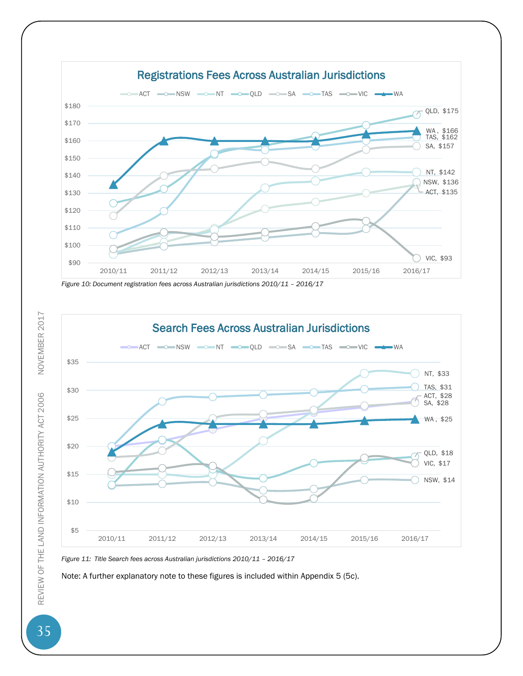





*Figure 11: Title Search fees across Australian jurisdictions 2010/11 – 2016/17* 

Note: A further explanatory note to these figures is included within Appendix 5 (5c).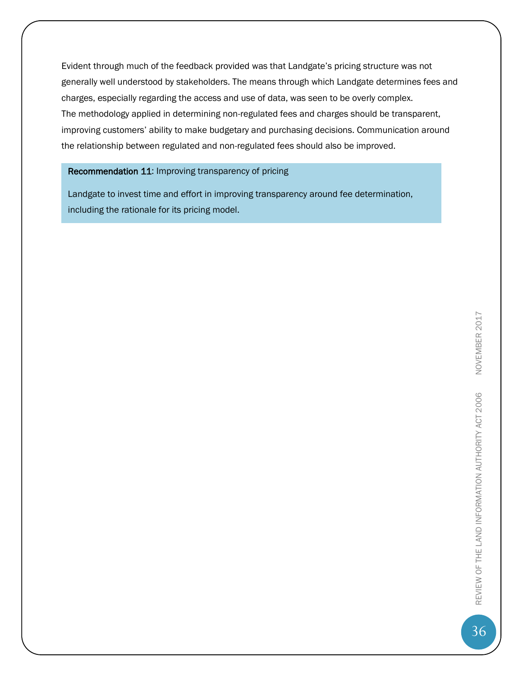Evident through much of the feedback provided was that Landgate's pricing structure was not generally well understood by stakeholders. The means through which Landgate determines fees and charges, especially regarding the access and use of data, was seen to be overly complex. The methodology applied in determining non-regulated fees and charges should be transparent, improving customers' ability to make budgetary and purchasing decisions. Communication around the relationship between regulated and non-regulated fees should also be improved.

### Recommendation 11: Improving transparency of pricing

<span id="page-36-0"></span>Landgate to invest time and effort in improving transparency around fee determination, including the rationale for its pricing model.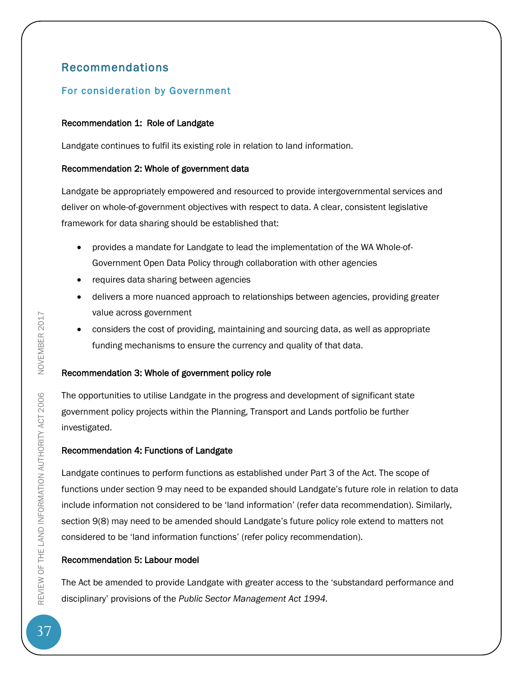# Recommendations

### <span id="page-37-0"></span>For consideration by Government

### Recommendation 1: Role of Landgate

Landgate continues to fulfil its existing role in relation to land information.

### Recommendation 2: Whole of government data

Landgate be appropriately empowered and resourced to provide intergovernmental services and deliver on whole-of-government objectives with respect to data. A clear, consistent legislative framework for data sharing should be established that:

- provides a mandate for Landgate to lead the implementation of the WA Whole-of-Government Open Data Policy through collaboration with other agencies
- requires data sharing between agencies
- delivers a more nuanced approach to relationships between agencies, providing greater value across government
- considers the cost of providing, maintaining and sourcing data, as well as appropriate funding mechanisms to ensure the currency and quality of that data.

### Recommendation 3: Whole of government policy role

The opportunities to utilise Landgate in the progress and development of significant state government policy projects within the Planning, Transport and Lands portfolio be further investigated.

### Recommendation 4: Functions of Landgate

Landgate continues to perform functions as established under Part 3 of the Act. The scope of functions under section 9 may need to be expanded should Landgate's future role in relation to data include information not considered to be 'land information' (refer data recommendation). Similarly, section 9(8) may need to be amended should Landgate's future policy role extend to matters not considered to be 'land information functions' (refer policy recommendation).

### Recommendation 5: Labour model

The Act be amended to provide Landgate with greater access to the 'substandard performance and disciplinary' provisions of the *Public Sector Management Act 1994.*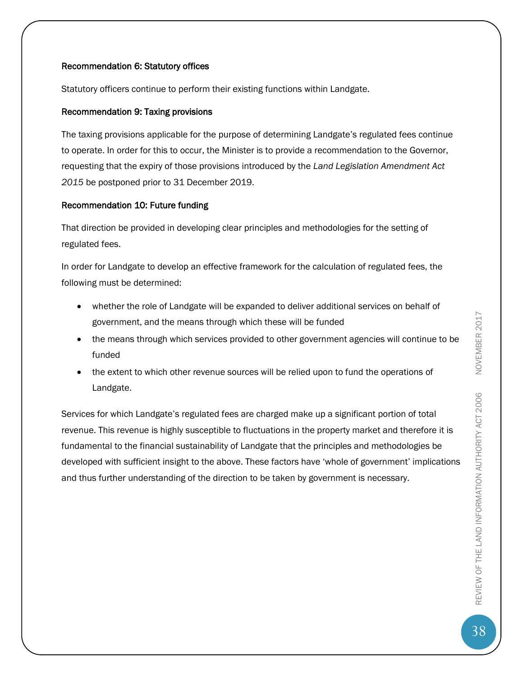### Recommendation 6: Statutory offices

Statutory officers continue to perform their existing functions within Landgate.

### Recommendation 9: Taxing provisions

The taxing provisions applicable for the purpose of determining Landgate's regulated fees continue to operate. In order for this to occur, the Minister is to provide a recommendation to the Governor, requesting that the expiry of those provisions introduced by the *Land Legislation Amendment Act 2015* be postponed prior to 31 December 2019.

### Recommendation 10: Future funding

That direction be provided in developing clear principles and methodologies for the setting of regulated fees.

In order for Landgate to develop an effective framework for the calculation of regulated fees, the following must be determined:

- whether the role of Landgate will be expanded to deliver additional services on behalf of government, and the means through which these will be funded
- the means through which services provided to other government agencies will continue to be funded
- the extent to which other revenue sources will be relied upon to fund the operations of Landgate.

Services for which Landgate's regulated fees are charged make up a significant portion of total revenue. This revenue is highly susceptible to fluctuations in the property market and therefore it is fundamental to the financial sustainability of Landgate that the principles and methodologies be developed with sufficient insight to the above. These factors have 'whole of government' implications and thus further understanding of the direction to be taken by government is necessary.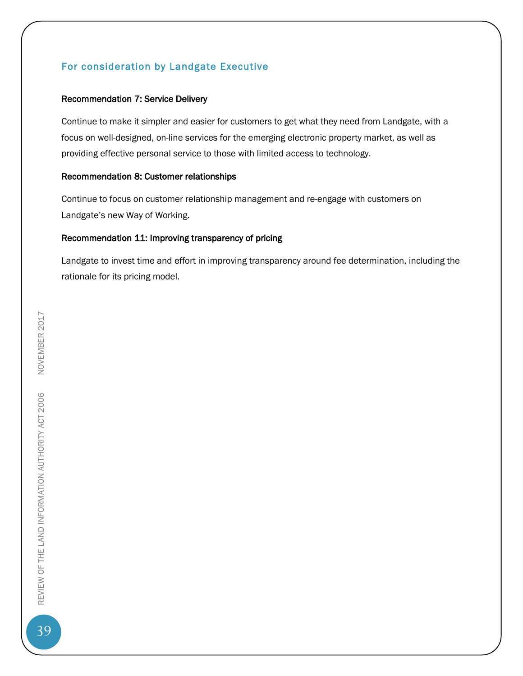### <span id="page-39-0"></span>For consideration by Landgate Executive

### Recommendation 7: Service Delivery

Continue to make it simpler and easier for customers to get what they need from Landgate, with a focus on well-designed, on-line services for the emerging electronic property market, as well as providing effective personal service to those with limited access to technology.

### Recommendation 8: Customer relationships

Continue to focus on customer relationship management and re-engage with customers on Landgate's new Way of Working.

### Recommendation 11: Improving transparency of pricing

<span id="page-39-1"></span>Landgate to invest time and effort in improving transparency around fee determination, including the rationale for its pricing model.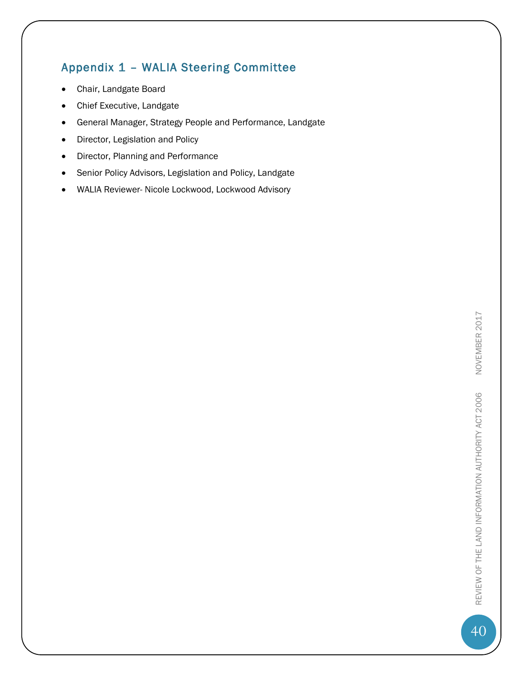# Appendix 1 – WALIA Steering Committee

- Chair, Landgate Board
- Chief Executive, Landgate
- General Manager, Strategy People and Performance, Landgate
- Director, Legislation and Policy
- Director, Planning and Performance
- **•** Senior Policy Advisors, Legislation and Policy, Landgate
- WALIA Reviewer- Nicole Lockwood, Lockwood Advisory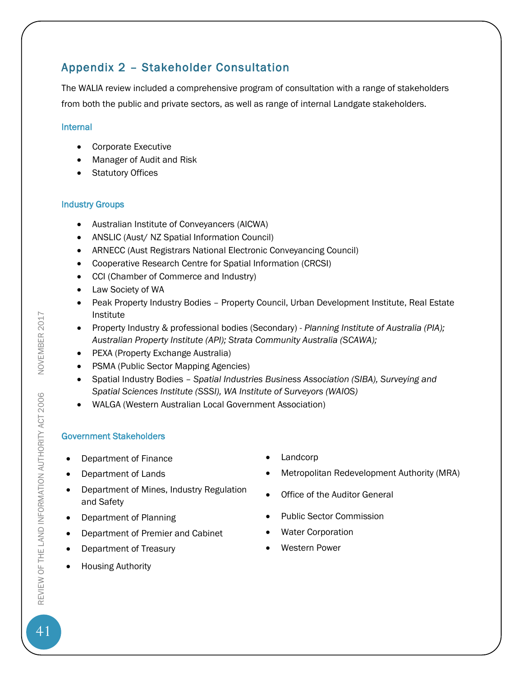# <span id="page-41-0"></span>Appendix 2 – Stakeholder Consultation

The WALIA review included a comprehensive program of consultation with a range of stakeholders from both the public and private sectors, as well as range of internal Landgate stakeholders.

### Internal

- Corporate Executive
- Manager of Audit and Risk
- Statutory Offices

### Industry Groups

- Australian Institute of Conveyancers (AICWA)
- ANSLIC (Aust/ NZ Spatial Information Council)
- ARNECC (Aust Registrars National Electronic Conveyancing Council)
- Cooperative Research Centre for Spatial Information (CRCSI)
- CCI (Chamber of Commerce and Industry)
- Law Society of WA
- Peak Property Industry Bodies Property Council, Urban Development Institute, Real Estate Institute
- Property Industry & professional bodies (Secondary) *Planning Institute of Australia (PIA); Australian Property Institute (API); Strata Community Australia (SCAWA);*
- PEXA (Property Exchange Australia)
- PSMA (Public Sector Mapping Agencies)
- Spatial Industry Bodies *Spatial Industries Business Association (SIBA), Surveying and Spatial Sciences Institute (SSSI), WA Institute of Surveyors (WAIOS)*
- WALGA (Western Australian Local Government Association)

### Government Stakeholders

- Department of Finance **Canadian Contract Contract Contract Contract Contract Contract Contract Contract Contract Contract Contract Contract Contract Contract Contract Contract Contract Contract Contract Contract Contract**
- 
- Department of Mines, Industry Regulation and Safety
- 
- Department of Premier and Cabinet Water Corporation
- Department of Treasury **Western Power**
- Housing Authority
- 
- Department of Lands **Music Contract Contract Contract Contract Contract Contract Contract Contract Contract Contract Contract Contract Contract Department Authority (MRA)** 
	- Office of the Auditor General
- Department of Planning **Commission Public Sector Commission** 
	-
	-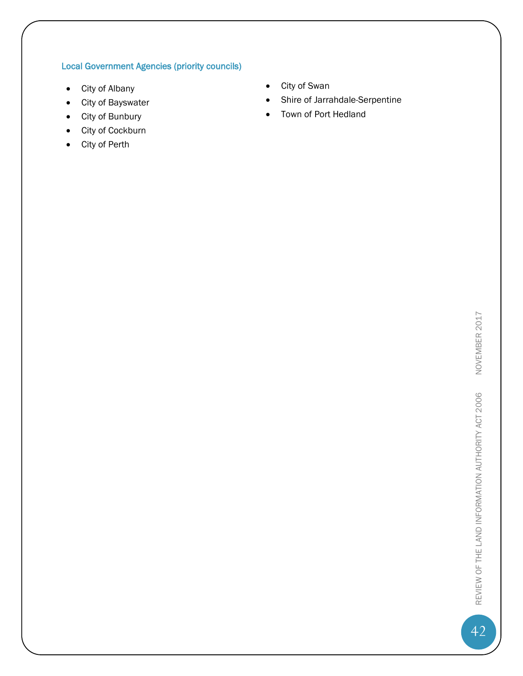### Local Government Agencies (priority councils)

- 
- 
- 
- City of Cockburn
- City of Perth
- City of Albany **City of Albany**
- City of Bayswater **Shire of Jarrahdale-Serpentine**
- City of Bunbury **Town of Port Hedland**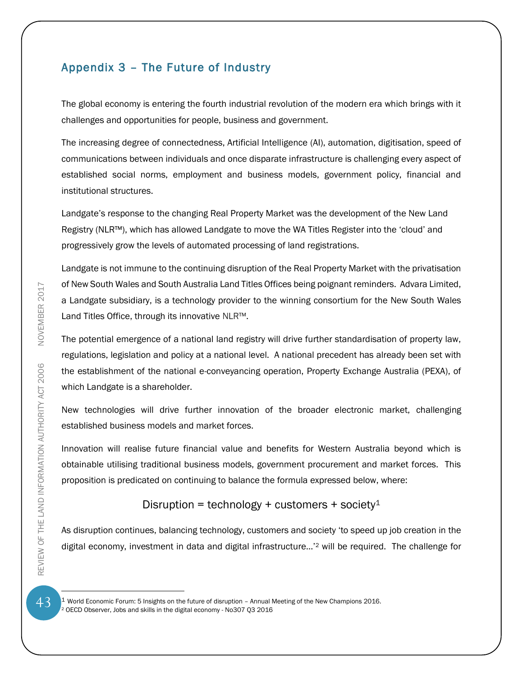### <span id="page-43-0"></span>Appendix 3 – The Future of Industry

The global economy is entering the fourth industrial revolution of the modern era which brings with it challenges and opportunities for people, business and government.

The increasing degree of connectedness, Artificial Intelligence (AI), automation, digitisation, speed of communications between individuals and once disparate infrastructure is challenging every aspect of established social norms, employment and business models, government policy, financial and institutional structures.

Landgate's response to the changing Real Property Market was the development of the New Land Registry (NLR™), which has allowed Landgate to move the WA Titles Register into the 'cloud' and progressively grow the levels of automated processing of land registrations.

Landgate is not immune to the continuing disruption of the Real Property Market with the privatisation of New South Wales and South Australia Land Titles Offices being poignant reminders. Advara Limited, a Landgate subsidiary, is a technology provider to the winning consortium for the New South Wales Land Titles Office, through its innovative NLR™.

The potential emergence of a national land registry will drive further standardisation of property law, regulations, legislation and policy at a national level. A national precedent has already been set with the establishment of the national e-conveyancing operation, Property Exchange Australia (PEXA), of which Landgate is a shareholder.

New technologies will drive further innovation of the broader electronic market, challenging established business models and market forces.

Innovation will realise future financial value and benefits for Western Australia beyond which is obtainable utilising traditional business models, government procurement and market forces. This proposition is predicated on continuing to balance the formula expressed below, where:

### Disruption = technology + customers + society<sup>1</sup>

As disruption continues, balancing technology, customers and society 'to speed up job creation in the digital economy, investment in data and digital infrastructure…'<sup>2</sup> will be required. The challenge for

 $\overline{a}$ 

 $^{\rm 1}$  World Economic Forum: 5 Insights on the future of disruption – Annual Meeting of the New Champions 2016. <sup>2</sup> OECD Observer, Jobs and skills in the digital economy - No307 Q3 2016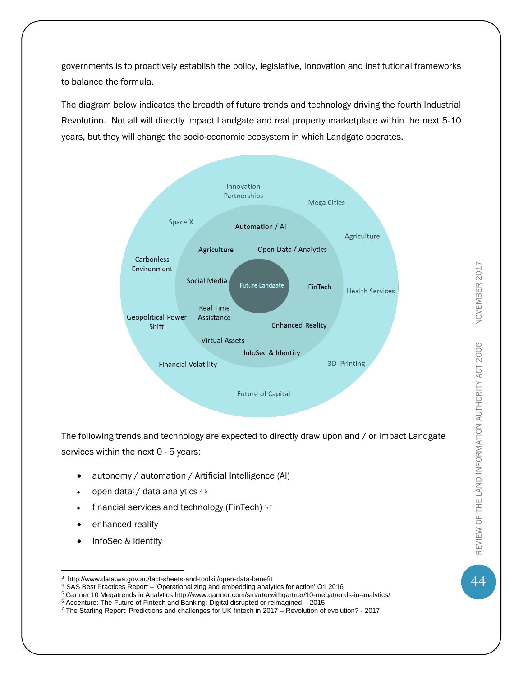governments is to proactively establish the policy, legislative, innovation and institutional frameworks to balance the formula.

The diagram below indicates the breadth of future trends and technology driving the fourth Industrial Revolution. Not all will directly impact Landgate and real property marketplace within the next 5-10 years, but they will change the socio-economic ecosystem in which Landgate operates.



The following trends and technology are expected to directly draw upon and / or impact Landgate services within the next 0 - 5 years:

- autonomy / automation / Artificial Intelligence (AI)
- open data<sup>3</sup>/ data analytics 4,5
- financial services and technology (FinTech) 6,7
- enhanced reality
- InfoSec & identity

 $\overline{a}$ 

<sup>5</sup> Gartner 10 Megatrends in Analytics http://www.gartner.com/smarterwithgartner/10-megatrends-in-analytics/

44

<sup>3</sup> http://www.data.wa.gov.au/fact-sheets-and-toolkit/open-data-benefit

<sup>4</sup>SAS Best Practices Report – 'Operationalizing and embedding analytics for action' Q1 2016

<sup>&</sup>lt;sup>6</sup> Accenture: The Future of Fintech and Banking: Digital disrupted or reimagined – 2015

<sup>7</sup> The Starling Report: Predictions and challenges for UK fintech in 2017 – Revolution of evolution? - 2017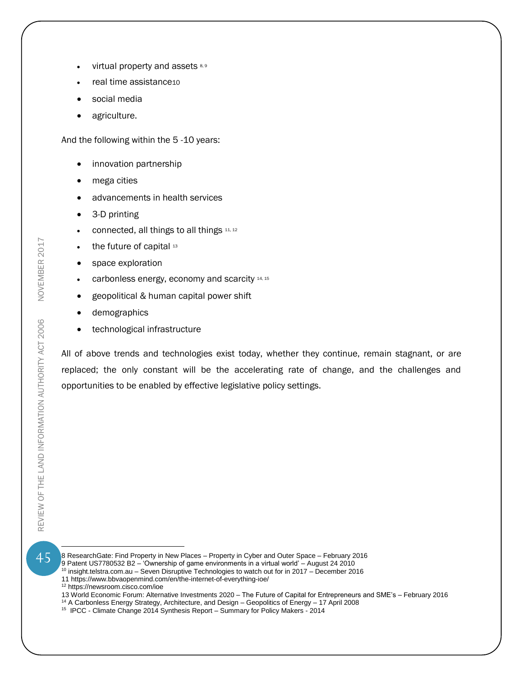- virtual property and assets 8,9
- real time assistance10
- social media
- agriculture.

And the following within the 5 -10 years:

- innovation partnership
- mega cities
- advancements in health services
- 3-D printing
- connected, all things to all things 11, 12
- the future of capital 13
- space exploration
- $\bullet$  carbonless energy, economy and scarcity 14, 15
- geopolitical & human capital power shift
- demographics
- technological infrastructure

All of above trends and technologies exist today, whether they continue, remain stagnant, or are replaced; the only constant will be the accelerating rate of change, and the challenges and opportunities to be enabled by effective legislative policy settings.

 $\overline{a}$ 

45

- 8 ResearchGate: Find Property in New Places Property in Cyber and Outer Space February 2016 9 Patent US7780532 B2 – 'Ownership of game environments in a virtual world' – August 24 2010
- $10$  insight.telstra.com.au Seven Disruptive Technologies to watch out for in 2017 December 2016
- 11 https://www.bbvaopenmind.com/en/the-internet-of-everything-ioe/
- <sup>12</sup> https://newsroom.cisco.com/ioe
- 13 World Economic Forum: Alternative Investments 2020 The Future of Capital for Entrepreneurs and SME's February 2016
- <sup>14</sup> A Carbonless Energy Strategy, Architecture, and Design Geopolitics of Energy 17 April 2008
- <sup>15</sup> IPCC Climate Change 2014 Synthesis Report Summary for Policy Makers 2014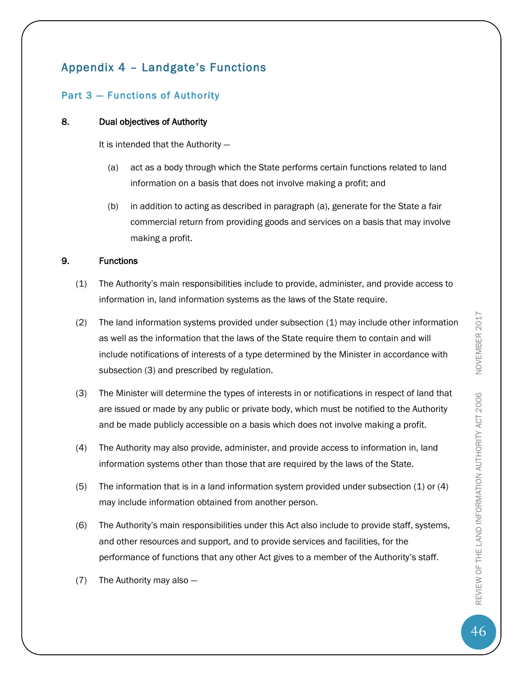### <span id="page-46-0"></span>Appendix 4 – Landgate's Functions

### Part 3 — Functions of Authority

### 8. Dual objectives of Authority

It is intended that the Authority —

- (a) act as a body through which the State performs certain functions related to land information on a basis that does not involve making a profit; and
- (b) in addition to acting as described in paragraph (a), generate for the State a fair commercial return from providing goods and services on a basis that may involve making a profit.

### 9. Functions

- (1) The Authority's main responsibilities include to provide, administer, and provide access to information in, land information systems as the laws of the State require.
- (2) The land information systems provided under subsection (1) may include other information as well as the information that the laws of the State require them to contain and will include notifications of interests of a type determined by the Minister in accordance with subsection (3) and prescribed by regulation.
- (3) The Minister will determine the types of interests in or notifications in respect of land that are issued or made by any public or private body, which must be notified to the Authority and be made publicly accessible on a basis which does not involve making a profit.
- (4) The Authority may also provide, administer, and provide access to information in, land information systems other than those that are required by the laws of the State.
- (5) The information that is in a land information system provided under subsection  $(1)$  or  $(4)$ may include information obtained from another person.
- (6) The Authority's main responsibilities under this Act also include to provide staff, systems, and other resources and support, and to provide services and facilities, for the performance of functions that any other Act gives to a member of the Authority's staff.
- (7) The Authority may also —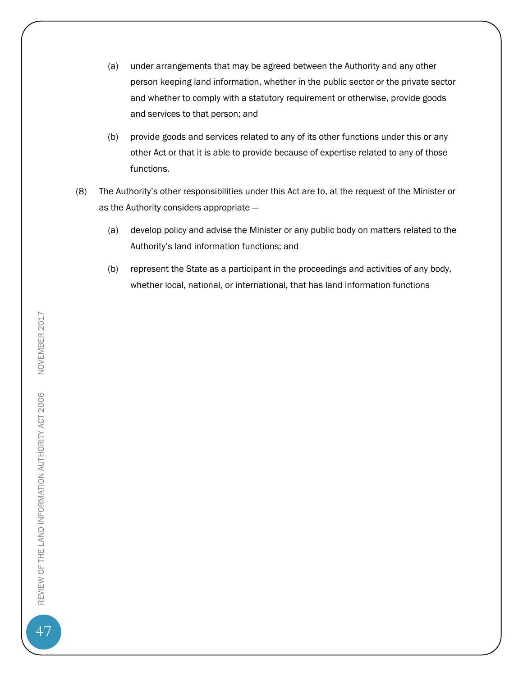- (a) under arrangements that may be agreed between the Authority and any other person keeping land information, whether in the public sector or the private sector and whether to comply with a statutory requirement or otherwise, provide goods and services to that person; and
- (b) provide goods and services related to any of its other functions under this or any other Act or that it is able to provide because of expertise related to any of those functions.
- (8) The Authority's other responsibilities under this Act are to, at the request of the Minister or as the Authority considers appropriate —
	- (a) develop policy and advise the Minister or any public body on matters related to the Authority's land information functions; and
	- (b) represent the State as a participant in the proceedings and activities of any body, whether local, national, or international, that has land information functions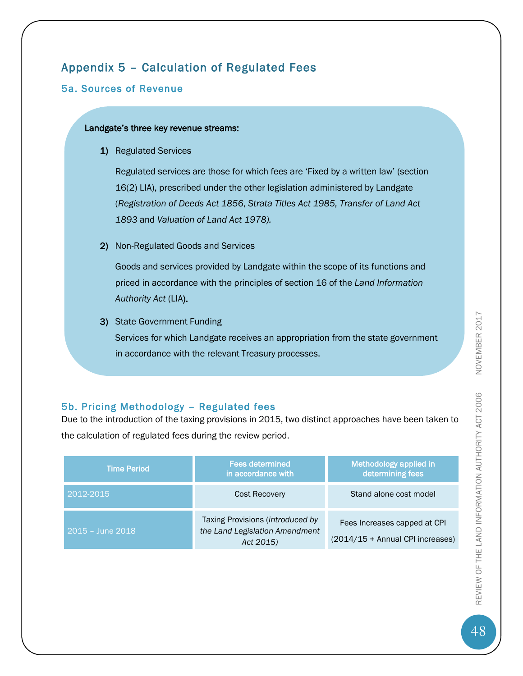# <span id="page-48-0"></span>Appendix 5 – Calculation of Regulated Fees

### 5a. Sources of Revenue

#### Landgate's three key revenue streams:

1) Regulated Services

Regulated services are those for which fees are 'Fixed by a written law' (section 16(2) LIA), prescribed under the other legislation administered by Landgate (*Registration of Deeds Act 1856*, *Strata Titles Act 1985, Transfer of Land Act 1893* and *Valuation of Land Act 1978).*

2) Non-Regulated Goods and Services

Goods and services provided by Landgate within the scope of its functions and priced in accordance with the principles of section 16 of the *Land Information Authority Act* (LIA).

3) State Government Funding Services for which Landgate receives an appropriation from the state government in accordance with the relevant Treasury processes.

### 5b. Pricing Methodology – Regulated fees

Due to the introduction of the taxing provisions in 2015, two distinct approaches have been taken to the calculation of regulated fees during the review period.

| <b>Time Period</b> | <b>Fees determined</b><br>in accordance with                                    | Methodology applied in<br>determining fees                       |
|--------------------|---------------------------------------------------------------------------------|------------------------------------------------------------------|
| 2012-2015          | <b>Cost Recovery</b>                                                            | Stand alone cost model                                           |
| $2015 - June 2018$ | Taxing Provisions (introduced by<br>the Land Legislation Amendment<br>Act 2015) | Fees Increases capped at CPI<br>(2014/15 + Annual CPI increases) |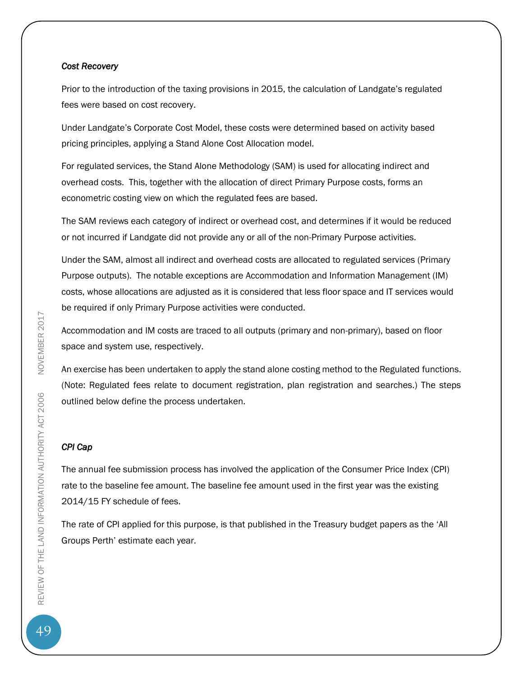#### *Cost Recovery*

Prior to the introduction of the taxing provisions in 2015, the calculation of Landgate's regulated fees were based on cost recovery.

Under Landgate's Corporate Cost Model, these costs were determined based on activity based pricing principles, applying a Stand Alone Cost Allocation model.

For regulated services, the Stand Alone Methodology (SAM) is used for allocating indirect and overhead costs. This, together with the allocation of direct Primary Purpose costs, forms an econometric costing view on which the regulated fees are based.

The SAM reviews each category of indirect or overhead cost, and determines if it would be reduced or not incurred if Landgate did not provide any or all of the non-Primary Purpose activities.

Under the SAM, almost all indirect and overhead costs are allocated to regulated services (Primary Purpose outputs). The notable exceptions are Accommodation and Information Management (IM) costs, whose allocations are adjusted as it is considered that less floor space and IT services would be required if only Primary Purpose activities were conducted.

Accommodation and IM costs are traced to all outputs (primary and non-primary), based on floor space and system use, respectively.

An exercise has been undertaken to apply the stand alone costing method to the Regulated functions. (Note: Regulated fees relate to document registration, plan registration and searches.) The steps outlined below define the process undertaken.

### *CPI Cap*

The annual fee submission process has involved the application of the Consumer Price Index (CPI) rate to the baseline fee amount. The baseline fee amount used in the first year was the existing 2014/15 FY schedule of fees.

The rate of CPI applied for this purpose, is that published in the Treasury budget papers as the 'All Groups Perth' estimate each year.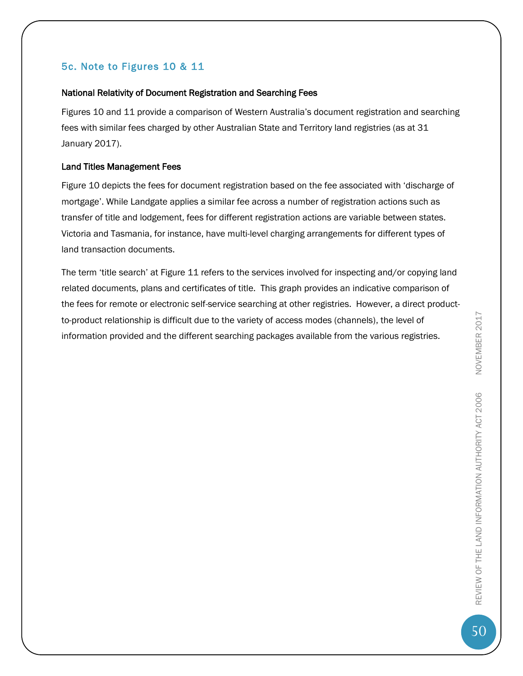### 5c. Note to Figures 10 & 11

#### National Relativity of Document Registration and Searching Fees

Figures 10 and 11 provide a comparison of Western Australia's document registration and searching fees with similar fees charged by other Australian State and Territory land registries (as at 31 January 2017).

### Land Titles Management Fees

Figure 10 depicts the fees for document registration based on the fee associated with 'discharge of mortgage'. While Landgate applies a similar fee across a number of registration actions such as transfer of title and lodgement, fees for different registration actions are variable between states. Victoria and Tasmania, for instance, have multi-level charging arrangements for different types of land transaction documents.

The term 'title search' at Figure 11 refers to the services involved for inspecting and/or copying land related documents, plans and certificates of title. This graph provides an indicative comparison of the fees for remote or electronic self-service searching at other registries. However, a direct productto-product relationship is difficult due to the variety of access modes (channels), the level of information provided and the different searching packages available from the various registries.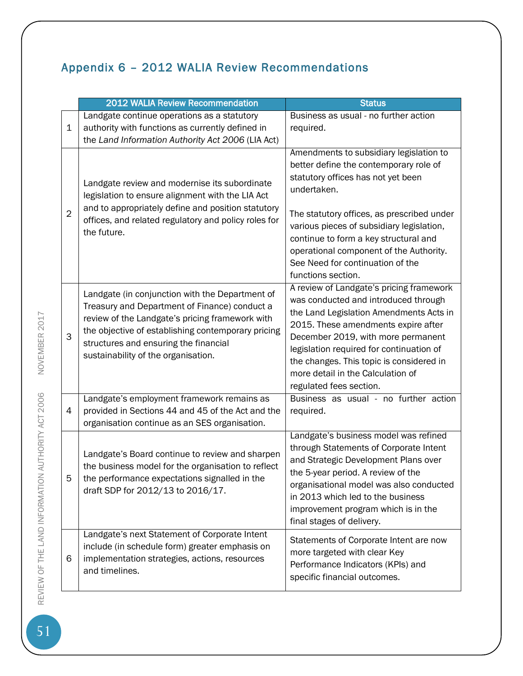# <span id="page-51-0"></span>Appendix 6 – 2012 WALIA Review Recommendations

|                | 2012 WALIA Review Recommendation                                                                                                                                                                                                                                                          | <b>Status</b>                                                                                                                                                                                                                                                                                                                                                                   |
|----------------|-------------------------------------------------------------------------------------------------------------------------------------------------------------------------------------------------------------------------------------------------------------------------------------------|---------------------------------------------------------------------------------------------------------------------------------------------------------------------------------------------------------------------------------------------------------------------------------------------------------------------------------------------------------------------------------|
| $\mathbf 1$    | Landgate continue operations as a statutory<br>authority with functions as currently defined in<br>the Land Information Authority Act 2006 (LIA Act)                                                                                                                                      | Business as usual - no further action<br>required.                                                                                                                                                                                                                                                                                                                              |
| $\overline{2}$ | Landgate review and modernise its subordinate<br>legislation to ensure alignment with the LIA Act<br>and to appropriately define and position statutory<br>offices, and related regulatory and policy roles for<br>the future.                                                            | Amendments to subsidiary legislation to<br>better define the contemporary role of<br>statutory offices has not yet been<br>undertaken.<br>The statutory offices, as prescribed under<br>various pieces of subsidiary legislation,<br>continue to form a key structural and<br>operational component of the Authority.<br>See Need for continuation of the<br>functions section. |
| 3              | Landgate (in conjunction with the Department of<br>Treasury and Department of Finance) conduct a<br>review of the Landgate's pricing framework with<br>the objective of establishing contemporary pricing<br>structures and ensuring the financial<br>sustainability of the organisation. | A review of Landgate's pricing framework<br>was conducted and introduced through<br>the Land Legislation Amendments Acts in<br>2015. These amendments expire after<br>December 2019, with more permanent<br>legislation required for continuation of<br>the changes. This topic is considered in<br>more detail in the Calculation of<br>regulated fees section.                |
| 4              | Landgate's employment framework remains as<br>provided in Sections 44 and 45 of the Act and the<br>organisation continue as an SES organisation.                                                                                                                                          | Business as usual - no further action<br>required.                                                                                                                                                                                                                                                                                                                              |
| 5              | Landgate's Board continue to review and sharpen<br>the business model for the organisation to reflect<br>the performance expectations signalled in the<br>draft SDP for 2012/13 to 2016/17.                                                                                               | Landgate's business model was refined<br>through Statements of Corporate Intent<br>and Strategic Development Plans over<br>the 5-year period. A review of the<br>organisational model was also conducted<br>in 2013 which led to the business<br>improvement program which is in the<br>final stages of delivery.                                                               |
| 6              | Landgate's next Statement of Corporate Intent<br>include (in schedule form) greater emphasis on<br>implementation strategies, actions, resources<br>and timelines.                                                                                                                        | Statements of Corporate Intent are now<br>more targeted with clear Key<br>Performance Indicators (KPIs) and<br>specific financial outcomes.                                                                                                                                                                                                                                     |

NOVEMBER 2017 SET REVIEW OF THE LAND INFORMATION AUTHORITY ACT 2006 NOVEMBER 2017 REVIEW OF THE LAND INFORMATION AUTHORITY ACT 2006